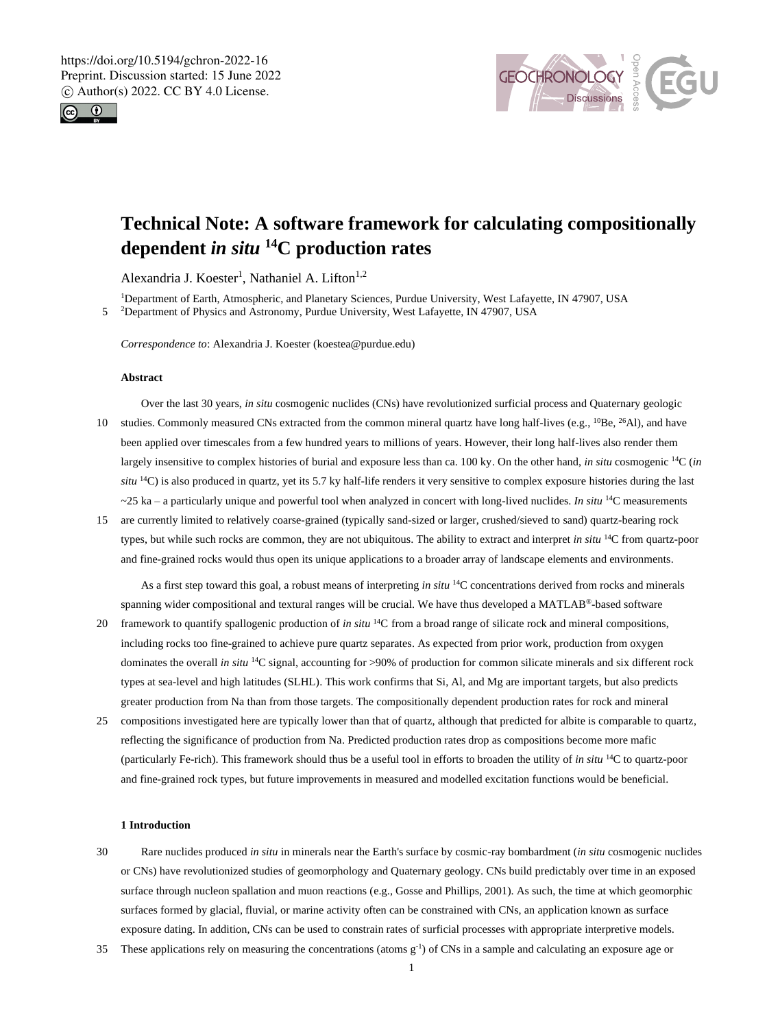



# **Technical Note: A software framework for calculating compositionally dependent** *in situ* **<sup>14</sup>C production rates**

Alexandria J. Koester<sup>1</sup>, Nathaniel A. Lifton<sup>1,2</sup>

<sup>1</sup>Department of Earth, Atmospheric, and Planetary Sciences, Purdue University, West Lafayette, IN 47907, USA 5 <sup>2</sup>Department of Physics and Astronomy, Purdue University, West Lafayette, IN 47907, USA

*Correspondence to*: Alexandria J. Koester (koestea@purdue.edu)

### **Abstract**

- Over the last 30 years, *in situ* cosmogenic nuclides (CNs) have revolutionized surficial process and Quaternary geologic 10 studies. Commonly measured CNs extracted from the common mineral quartz have long half-lives (e.g., <sup>10</sup>Be, <sup>26</sup>Al), and have been applied over timescales from a few hundred years to millions of years. However, their long half-lives also render them largely insensitive to complex histories of burial and exposure less than ca. 100 ky. On the other hand, *in situ* cosmogenic <sup>14</sup>C (*in situ* <sup>14</sup>C) is also produced in quartz, yet its 5.7 ky half-life renders it very sensitive to complex exposure histories during the last  $\sim$ 25 ka – a particularly unique and powerful tool when analyzed in concert with long-lived nuclides. *In situ* <sup>14</sup>C measurements
- 15 are currently limited to relatively coarse-grained (typically sand-sized or larger, crushed/sieved to sand) quartz-bearing rock types, but while such rocks are common, they are not ubiquitous. The ability to extract and interpret *in situ* <sup>14</sup>C from quartz-poor and fine-grained rocks would thus open its unique applications to a broader array of landscape elements and environments.

As a first step toward this goal, a robust means of interpreting *in situ* <sup>14</sup>C concentrations derived from rocks and minerals spanning wider compositional and textural ranges will be crucial. We have thus developed a MATLAB®-based software

- 20 framework to quantify spallogenic production of *in situ* <sup>14</sup>C from a broad range of silicate rock and mineral compositions, including rocks too fine-grained to achieve pure quartz separates. As expected from prior work, production from oxygen dominates the overall *in situ* <sup>14</sup>C signal, accounting for >90% of production for common silicate minerals and six different rock types at sea-level and high latitudes (SLHL). This work confirms that Si, Al, and Mg are important targets, but also predicts greater production from Na than from those targets. The compositionally dependent production rates for rock and mineral
- 25 compositions investigated here are typically lower than that of quartz, although that predicted for albite is comparable to quartz, reflecting the significance of production from Na. Predicted production rates drop as compositions become more mafic (particularly Fe-rich). This framework should thus be a useful tool in efforts to broaden the utility of *in situ* <sup>14</sup>C to quartz-poor and fine-grained rock types, but future improvements in measured and modelled excitation functions would be beneficial.

## **1 Introduction**

- 30 Rare nuclides produced *in situ* in minerals near the Earth's surface by cosmic-ray bombardment (*in situ* cosmogenic nuclides or CNs) have revolutionized studies of geomorphology and Quaternary geology. CNs build predictably over time in an exposed surface through nucleon spallation and muon reactions (e.g., Gosse and Phillips, 2001). As such, the time at which geomorphic surfaces formed by glacial, fluvial, or marine activity often can be constrained with CNs, an application known as surface exposure dating. In addition, CNs can be used to constrain rates of surficial processes with appropriate interpretive models.
- 35 These applications rely on measuring the concentrations (atoms  $g^{-1}$ ) of CNs in a sample and calculating an exposure age or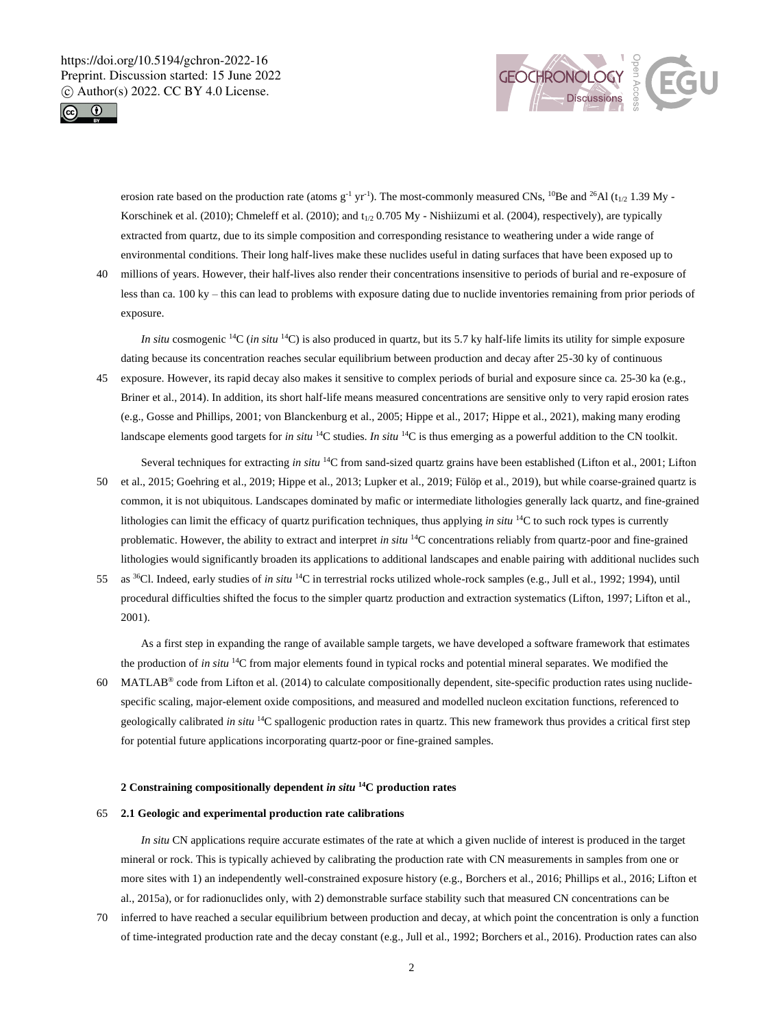



erosion rate based on the production rate (atoms  $g^{-1}$  yr<sup>-1</sup>). The most-commonly measured CNs, <sup>10</sup>Be and <sup>26</sup>Al (t<sub>1/2</sub> 1.39 My -Korschinek et al. (2010); Chmeleff et al. (2010); and  $t_{1/2}$  0.705 My - Nishiizumi et al. (2004), respectively), are typically extracted from quartz, due to its simple composition and corresponding resistance to weathering under a wide range of environmental conditions. Their long half-lives make these nuclides useful in dating surfaces that have been exposed up to

40 millions of years. However, their half-lives also render their concentrations insensitive to periods of burial and re-exposure of less than ca. 100 ky – this can lead to problems with exposure dating due to nuclide inventories remaining from prior periods of exposure.

*In situ* cosmogenic <sup>14</sup>C (*in situ* <sup>14</sup>C) is also produced in quartz, but its 5.7 ky half-life limits its utility for simple exposure dating because its concentration reaches secular equilibrium between production and decay after 25-30 ky of continuous

- 45 exposure. However, its rapid decay also makes it sensitive to complex periods of burial and exposure since ca. 25-30 ka (e.g., Briner et al., 2014). In addition, its short half-life means measured concentrations are sensitive only to very rapid erosion rates (e.g., Gosse and Phillips, 2001; von Blanckenburg et al., 2005; Hippe et al., 2017; Hippe et al., 2021), making many eroding landscape elements good targets for *in situ* <sup>14</sup>C studies. *In situ* <sup>14</sup>C is thus emerging as a powerful addition to the CN toolkit.
- Several techniques for extracting *in situ* <sup>14</sup>C from sand-sized quartz grains have been established (Lifton et al., 2001; Lifton 50 et al., 2015; Goehring et al., 2019; Hippe et al., 2013; Lupker et al., 2019; Fülöp et al., 2019), but while coarse-grained quartz is common, it is not ubiquitous. Landscapes dominated by mafic or intermediate lithologies generally lack quartz, and fine-grained lithologies can limit the efficacy of quartz purification techniques, thus applying *in situ* <sup>14</sup>C to such rock types is currently problematic. However, the ability to extract and interpret *in situ* <sup>14</sup>C concentrations reliably from quartz-poor and fine-grained lithologies would significantly broaden its applications to additional landscapes and enable pairing with additional nuclides such
- 55 as <sup>36</sup>Cl. Indeed, early studies of *in situ* <sup>14</sup>C in terrestrial rocks utilized whole-rock samples (e.g., Jull et al., 1992; 1994), until procedural difficulties shifted the focus to the simpler quartz production and extraction systematics (Lifton, 1997; Lifton et al., 2001).

As a first step in expanding the range of available sample targets, we have developed a software framework that estimates the production of *in situ* <sup>14</sup>C from major elements found in typical rocks and potential mineral separates. We modified the

60 MATLAB<sup>®</sup> code from Lifton et al. (2014) to calculate compositionally dependent, site-specific production rates using nuclidespecific scaling, major-element oxide compositions, and measured and modelled nucleon excitation functions, referenced to geologically calibrated *in situ* <sup>14</sup>C spallogenic production rates in quartz. This new framework thus provides a critical first step for potential future applications incorporating quartz-poor or fine-grained samples.

#### **2 Constraining compositionally dependent** *in situ* **<sup>14</sup>C production rates**

### 65 **2.1 Geologic and experimental production rate calibrations**

*In situ* CN applications require accurate estimates of the rate at which a given nuclide of interest is produced in the target mineral or rock. This is typically achieved by calibrating the production rate with CN measurements in samples from one or more sites with 1) an independently well-constrained exposure history (e.g., Borchers et al., 2016; Phillips et al., 2016; Lifton et al., 2015a), or for radionuclides only, with 2) demonstrable surface stability such that measured CN concentrations can be

70 inferred to have reached a secular equilibrium between production and decay, at which point the concentration is only a function of time-integrated production rate and the decay constant (e.g., Jull et al., 1992; Borchers et al., 2016). Production rates can also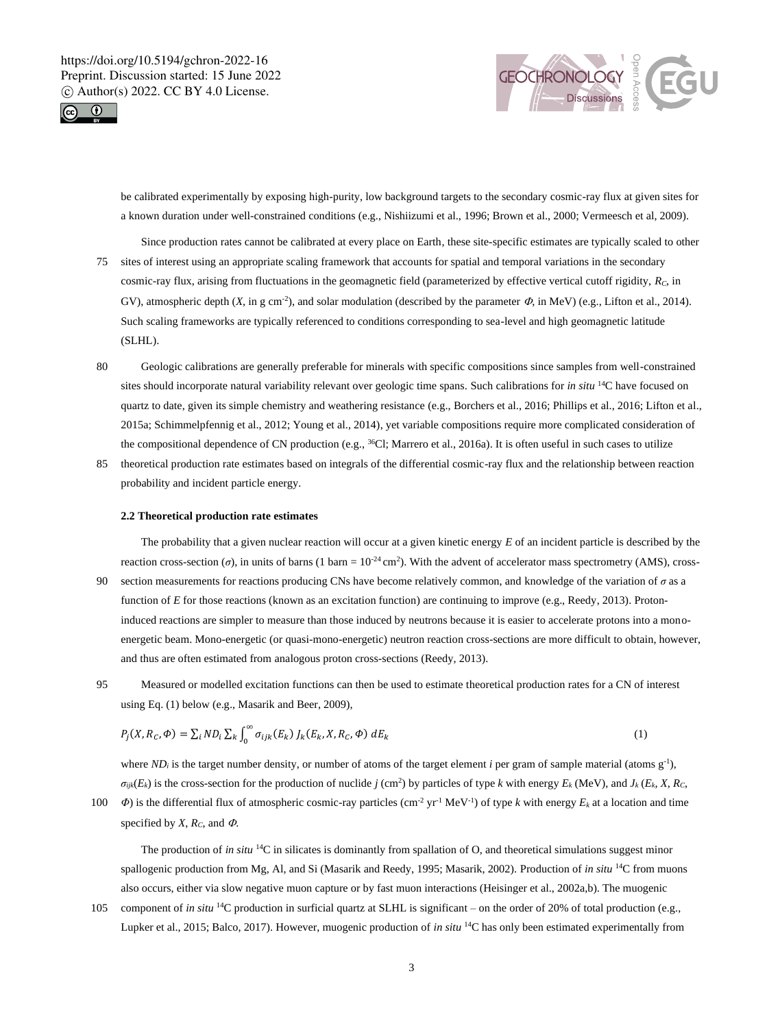



be calibrated experimentally by exposing high-purity, low background targets to the secondary cosmic-ray flux at given sites for a known duration under well-constrained conditions (e.g., Nishiizumi et al., 1996; Brown et al., 2000; Vermeesch et al, 2009).

- Since production rates cannot be calibrated at every place on Earth, these site-specific estimates are typically scaled to other 75 sites of interest using an appropriate scaling framework that accounts for spatial and temporal variations in the secondary cosmic-ray flux, arising from fluctuations in the geomagnetic field (parameterized by effective vertical cutoff rigidity, *RC*, in GV), atmospheric depth  $(X, \text{ in g cm}^2)$ , and solar modulation (described by the parameter  $\Phi$ , in MeV) (e.g., Lifton et al., 2014). Such scaling frameworks are typically referenced to conditions corresponding to sea-level and high geomagnetic latitude (SLHL).
- 80 Geologic calibrations are generally preferable for minerals with specific compositions since samples from well-constrained sites should incorporate natural variability relevant over geologic time spans. Such calibrations for *in situ* <sup>14</sup>C have focused on quartz to date, given its simple chemistry and weathering resistance (e.g., Borchers et al., 2016; Phillips et al., 2016; Lifton et al., 2015a; Schimmelpfennig et al., 2012; Young et al., 2014), yet variable compositions require more complicated consideration of the compositional dependence of CN production (e.g.,  $^{36}$ Cl; Marrero et al., 2016a). It is often useful in such cases to utilize
- 85 theoretical production rate estimates based on integrals of the differential cosmic-ray flux and the relationship between reaction probability and incident particle energy.

#### **2.2 Theoretical production rate estimates**

The probability that a given nuclear reaction will occur at a given kinetic energy *E* of an incident particle is described by the reaction cross-section ( $\sigma$ ), in units of barns (1 barn =  $10^{-24}$  cm<sup>2</sup>). With the advent of accelerator mass spectrometry (AMS), cross-

- 90 section measurements for reactions producing CNs have become relatively common, and knowledge of the variation of  $\sigma$  as a function of *E* for those reactions (known as an excitation function) are continuing to improve (e.g., Reedy, 2013). Protoninduced reactions are simpler to measure than those induced by neutrons because it is easier to accelerate protons into a monoenergetic beam. Mono-energetic (or quasi-mono-energetic) neutron reaction cross-sections are more difficult to obtain, however, and thus are often estimated from analogous proton cross-sections (Reedy, 2013).
- 95 Measured or modelled excitation functions can then be used to estimate theoretical production rates for a CN of interest using Eq. (1) below (e.g., Masarik and Beer, 2009),

$$
P_j(X, R_c, \Phi) = \sum_i ND_i \sum_k \int_0^{\infty} \sigma_{ijk}(E_k) J_k(E_k, X, R_c, \Phi) dE_k
$$
\n(1)

where  $ND_i$  is the target number density, or number of atoms of the target element *i* per gram of sample material (atoms  $g^{-1}$ ),  $\sigma_{ijk}(E_k)$  is the cross-section for the production of nuclide j (cm<sup>2</sup>) by particles of type k with energy  $E_k$  (MeV), and  $J_k$  ( $E_k$ , X, R<sub>C</sub>,

*IO*  $\Phi$ ) is the differential flux of atmospheric cosmic-ray particles (cm<sup>-2</sup> yr<sup>-1</sup> MeV<sup>-1</sup>) of type *k* with energy  $E_k$  at a location and time specified by *X*,  $R_C$ , and  $\Phi$ .

The production of *in situ* <sup>14</sup>C in silicates is dominantly from spallation of O, and theoretical simulations suggest minor spallogenic production from Mg, Al, and Si (Masarik and Reedy, 1995; Masarik, 2002). Production of *in situ* <sup>14</sup>C from muons also occurs, either via slow negative muon capture or by fast muon interactions (Heisinger et al., 2002a,b). The muogenic

105 component of *in situ* <sup>14</sup>C production in surficial quartz at SLHL is significant – on the order of 20% of total production (e.g., Lupker et al., 2015; Balco, 2017). However, muogenic production of *in situ* <sup>14</sup>C has only been estimated experimentally from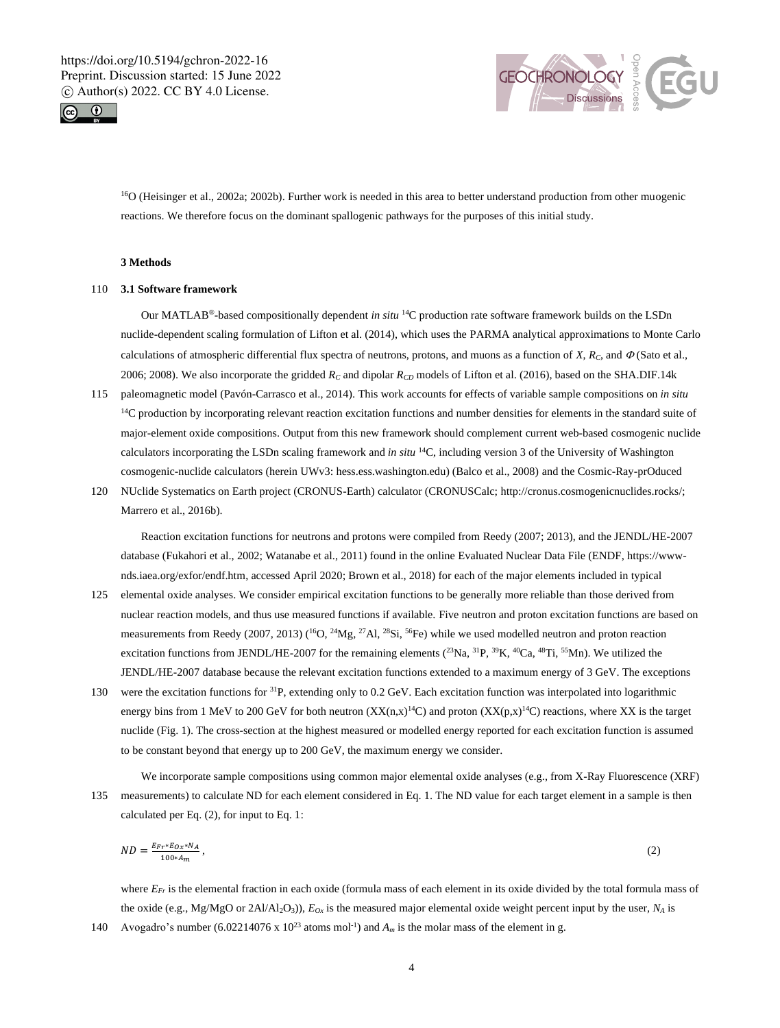



<sup>16</sup>O (Heisinger et al., 2002a; 2002b). Further work is needed in this area to better understand production from other muogenic reactions. We therefore focus on the dominant spallogenic pathways for the purposes of this initial study.

# **3 Methods**

## 110 **3.1 Software framework**

Our MATLAB®-based compositionally dependent *in situ* <sup>14</sup>C production rate software framework builds on the LSDn nuclide-dependent scaling formulation of Lifton et al. (2014), which uses the PARMA analytical approximations to Monte Carlo calculations of atmospheric differential flux spectra of neutrons, protons, and muons as a function of  $X$ ,  $R_C$ , and  $\Phi$  (Sato et al., 2006; 2008). We also incorporate the gridded *R<sup>C</sup>* and dipolar *RCD* models of Lifton et al. (2016), based on the SHA.DIF.14k

- 115 paleomagnetic model (Pavón-Carrasco et al., 2014). This work accounts for effects of variable sample compositions on *in situ* <sup>14</sup>C production by incorporating relevant reaction excitation functions and number densities for elements in the standard suite of major-element oxide compositions. Output from this new framework should complement current web-based cosmogenic nuclide calculators incorporating the LSDn scaling framework and *in situ* <sup>14</sup>C, including version 3 of the University of Washington cosmogenic-nuclide calculators (herein UWv3: hess.ess.washington.edu) (Balco et al., 2008) and the Cosmic-Ray-prOduced
- 120 NUclide Systematics on Earth project (CRONUS-Earth) calculator (CRONUSCalc; http://cronus.cosmogenicnuclides.rocks/; Marrero et al., 2016b).

Reaction excitation functions for neutrons and protons were compiled from Reedy (2007; 2013), and the JENDL/HE-2007 database (Fukahori et al., 2002; Watanabe et al., 2011) found in the online Evaluated Nuclear Data File (ENDF, https://wwwnds.iaea.org/exfor/endf.htm, accessed April 2020; Brown et al., 2018) for each of the major elements included in typical

- 125 elemental oxide analyses. We consider empirical excitation functions to be generally more reliable than those derived from nuclear reaction models, and thus use measured functions if available. Five neutron and proton excitation functions are based on measurements from Reedy (2007, 2013) ( $^{16}O$ ,  $^{24}Mg$ ,  $^{27}Al$ ,  $^{28}Si$ ,  $^{56}Fe$ ) while we used modelled neutron and proton reaction excitation functions from JENDL/HE-2007 for the remaining elements  $(^{23}Na, ^{31}P, ^{39}K, ^{40}Ca, ^{48}Ti, ^{55}Mn)$ . We utilized the JENDL/HE-2007 database because the relevant excitation functions extended to a maximum energy of 3 GeV. The exceptions
- 130 were the excitation functions for <sup>31</sup>P, extending only to 0.2 GeV. Each excitation function was interpolated into logarithmic energy bins from 1 MeV to 200 GeV for both neutron  $(XX(n,x)^{14}C)$  and proton  $(XX(p,x)^{14}C)$  reactions, where XX is the target nuclide (Fig. 1). The cross-section at the highest measured or modelled energy reported for each excitation function is assumed to be constant beyond that energy up to 200 GeV, the maximum energy we consider.

We incorporate sample compositions using common major elemental oxide analyses (e.g., from X-Ray Fluorescence (XRF) 135 measurements) to calculate ND for each element considered in Eq. 1. The ND value for each target element in a sample is then calculated per Eq. (2), for input to Eq. 1:

$$
ND = \frac{E_{Fr} * E_{Ox} * N_A}{100 * A_m},
$$
\n(2)

where *EFr* is the elemental fraction in each oxide (formula mass of each element in its oxide divided by the total formula mass of the oxide (e.g., Mg/MgO or 2Al/Al<sub>2</sub>O<sub>3</sub>)),  $E_{Ox}$  is the measured major elemental oxide weight percent input by the user,  $N_A$  is

Avogadro's number (6.02214076 x  $10^{23}$  atoms mol<sup>-1</sup>) and  $A_m$  is the molar mass of the element in g.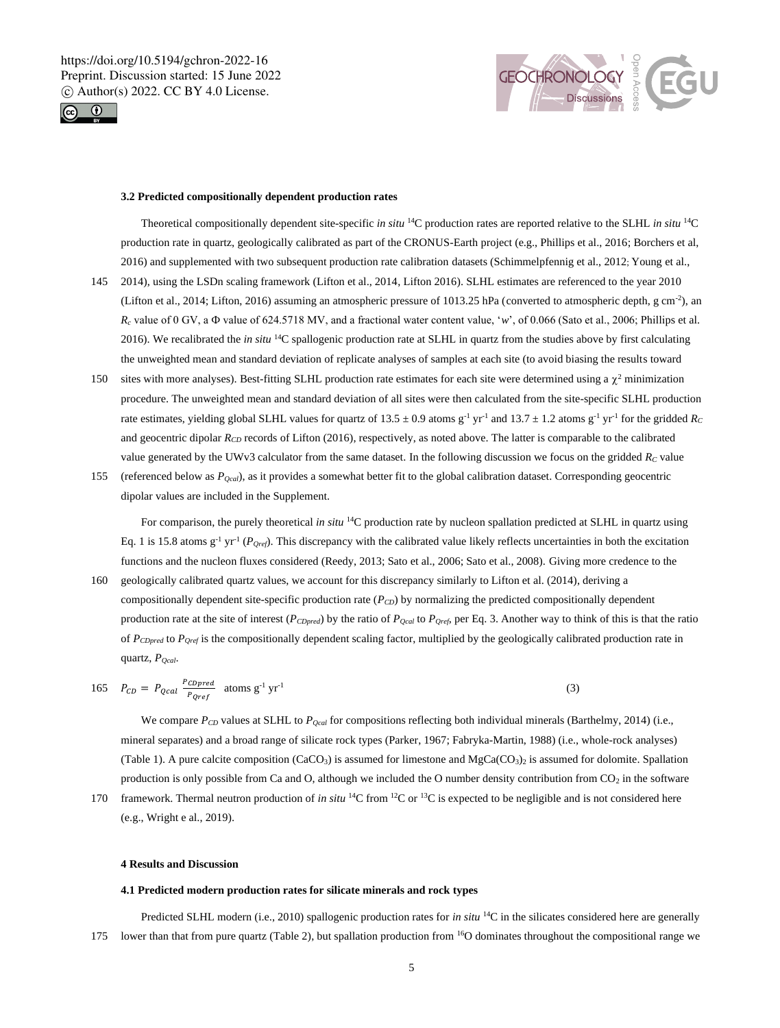



#### **3.2 Predicted compositionally dependent production rates**

Theoretical compositionally dependent site-specific *in situ* <sup>14</sup>C production rates are reported relative to the SLHL *in situ* <sup>14</sup>C production rate in quartz, geologically calibrated as part of the CRONUS-Earth project (e.g., Phillips et al., 2016; Borchers et al, 2016) and supplemented with two subsequent production rate calibration datasets (Schimmelpfennig et al., 2012; Young et al.,

- 145 2014), using the LSDn scaling framework (Lifton et al., 2014, Lifton 2016). SLHL estimates are referenced to the year 2010 (Lifton et al., 2014; Lifton, 2016) assuming an atmospheric pressure of 1013.25 hPa (converted to atmospheric depth, g cm<sup>-2</sup>), an *R<sub>c</sub>* value of 0 GV, a  $\Phi$  value of 624.5718 MV, and a fractional water content value, '*w*', of 0.066 (Sato et al., 2006; Phillips et al. 2016). We recalibrated the *in situ* <sup>14</sup>C spallogenic production rate at SLHL in quartz from the studies above by first calculating the unweighted mean and standard deviation of replicate analyses of samples at each site (to avoid biasing the results toward
- 150 sites with more analyses). Best-fitting SLHL production rate estimates for each site were determined using a  $\chi^2$  minimization procedure. The unweighted mean and standard deviation of all sites were then calculated from the site-specific SLHL production rate estimates, yielding global SLHL values for quartz of  $13.5 \pm 0.9$  atoms g<sup>-1</sup> yr<sup>-1</sup> and  $13.7 \pm 1.2$  atoms g<sup>-1</sup> yr<sup>-1</sup> for the gridded *R<sub>C</sub>* and geocentric dipolar  $R_{CD}$  records of Lifton (2016), respectively, as noted above. The latter is comparable to the calibrated value generated by the UWv3 calculator from the same dataset. In the following discussion we focus on the gridded  $R_C$  value
- 155 (referenced below as *PQcal*), as it provides a somewhat better fit to the global calibration dataset. Corresponding geocentric dipolar values are included in the Supplement.

For comparison, the purely theoretical *in situ* <sup>14</sup>C production rate by nucleon spallation predicted at SLHL in quartz using Eq. 1 is 15.8 atoms  $g^{-1}$  yr<sup>-1</sup> ( $P_{Qref}$ ). This discrepancy with the calibrated value likely reflects uncertainties in both the excitation functions and the nucleon fluxes considered (Reedy, 2013; Sato et al., 2006; Sato et al., 2008). Giving more credence to the

160 geologically calibrated quartz values, we account for this discrepancy similarly to Lifton et al. (2014), deriving a compositionally dependent site-specific production rate (*PCD*) by normalizing the predicted compositionally dependent production rate at the site of interest (*PCDpred*) by the ratio of *PQcal* to *PQref*, per Eq. 3. Another way to think of this is that the ratio of *PCDpred* to *PQref* is the compositionally dependent scaling factor, multiplied by the geologically calibrated production rate in quartz, *PQcal*.

$$
165 \quad P_{CD} = P_{Qcal} \frac{P_{CDpred}}{P_{Qref}} \quad \text{atoms g}^{-1} \text{ yr}^{-1} \tag{3}
$$

We compare *PCD* values at SLHL to *PQcal* for compositions reflecting both individual minerals (Barthelmy, 2014) (i.e., mineral separates) and a broad range of silicate rock types (Parker, 1967; Fabryka-Martin, 1988) (i.e., whole-rock analyses) (Table 1). A pure calcite composition (CaCO<sub>3</sub>) is assumed for limestone and MgCa(CO<sub>3</sub>)<sub>2</sub> is assumed for dolomite. Spallation production is only possible from Ca and O, although we included the O number density contribution from  $CO<sub>2</sub>$  in the software

170 framework. Thermal neutron production of *in situ* <sup>14</sup>C from <sup>12</sup>C or <sup>13</sup>C is expected to be negligible and is not considered here (e.g., Wright e al., 2019).

#### **4 Results and Discussion**

#### **4.1 Predicted modern production rates for silicate minerals and rock types**

Predicted SLHL modern (i.e., 2010) spallogenic production rates for *in situ* <sup>14</sup>C in the silicates considered here are generally 175 lower than that from pure quartz (Table 2), but spallation production from  $16$ O dominates throughout the compositional range we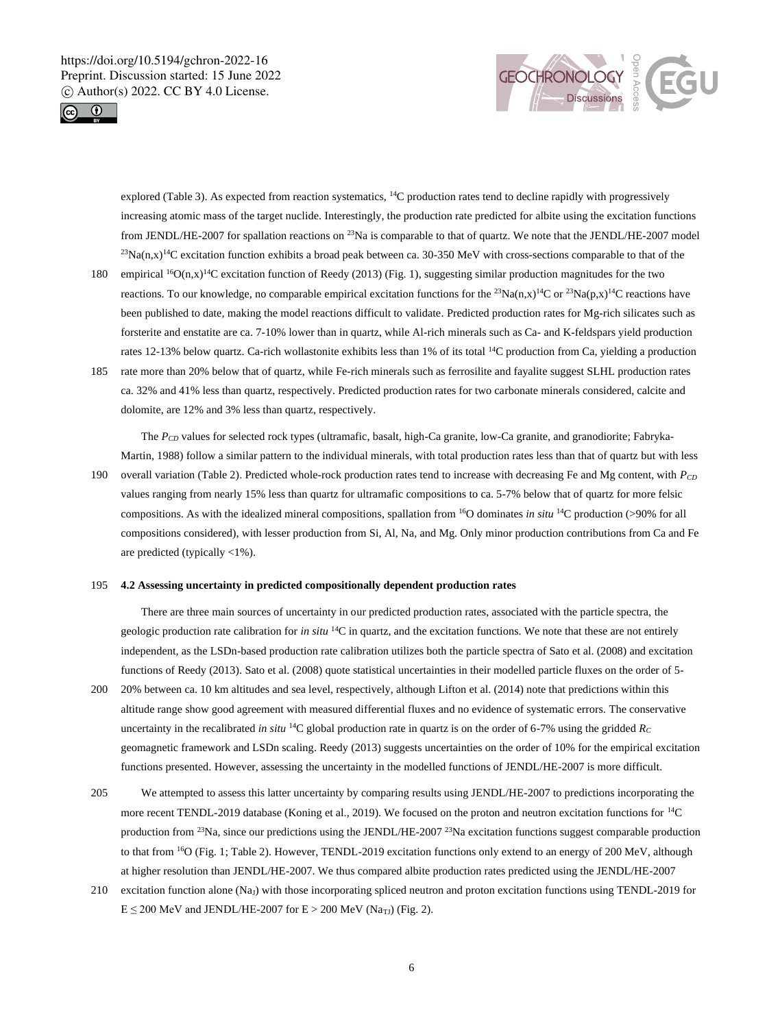



explored (Table 3). As expected from reaction systematics,  $^{14}$ C production rates tend to decline rapidly with progressively increasing atomic mass of the target nuclide. Interestingly, the production rate predicted for albite using the excitation functions from JENDL/HE-2007 for spallation reactions on <sup>23</sup>Na is comparable to that of quartz. We note that the JENDL/HE-2007 model  $^{23}$ Na(n,x)<sup>14</sup>C excitation function exhibits a broad peak between ca. 30-350 MeV with cross-sections comparable to that of the

- 180 empirical <sup>16</sup>O(n,x)<sup>14</sup>C excitation function of Reedy (2013) (Fig. 1), suggesting similar production magnitudes for the two reactions. To our knowledge, no comparable empirical excitation functions for the <sup>23</sup>Na(n,x)<sup>14</sup>C or <sup>23</sup>Na(p,x)<sup>14</sup>C reactions have been published to date, making the model reactions difficult to validate. Predicted production rates for Mg-rich silicates such as forsterite and enstatite are ca. 7-10% lower than in quartz, while Al-rich minerals such as Ca- and K-feldspars yield production rates 12-13% below quartz. Ca-rich wollastonite exhibits less than 1% of its total <sup>14</sup>C production from Ca, yielding a production
- 185 rate more than 20% below that of quartz, while Fe-rich minerals such as ferrosilite and fayalite suggest SLHL production rates ca. 32% and 41% less than quartz, respectively. Predicted production rates for two carbonate minerals considered, calcite and dolomite, are 12% and 3% less than quartz, respectively.

The  $P_{CD}$  values for selected rock types (ultramafic, basalt, high-Ca granite, low-Ca granite, and granodiorite; Fabryka-Martin, 1988) follow a similar pattern to the individual minerals, with total production rates less than that of quartz but with less

190 overall variation (Table 2). Predicted whole-rock production rates tend to increase with decreasing Fe and Mg content, with *PCD* values ranging from nearly 15% less than quartz for ultramafic compositions to ca. 5-7% below that of quartz for more felsic compositions. As with the idealized mineral compositions, spallation from <sup>16</sup>O dominates *in situ* <sup>14</sup>C production (>90% for all compositions considered), with lesser production from Si, Al, Na, and Mg. Only minor production contributions from Ca and Fe are predicted (typically <1%).

#### 195 **4.2 Assessing uncertainty in predicted compositionally dependent production rates**

There are three main sources of uncertainty in our predicted production rates, associated with the particle spectra, the geologic production rate calibration for *in situ* <sup>14</sup>C in quartz, and the excitation functions. We note that these are not entirely independent, as the LSDn-based production rate calibration utilizes both the particle spectra of Sato et al. (2008) and excitation functions of Reedy (2013). Sato et al. (2008) quote statistical uncertainties in their modelled particle fluxes on the order of 5-

- 200 20% between ca. 10 km altitudes and sea level, respectively, although Lifton et al. (2014) note that predictions within this altitude range show good agreement with measured differential fluxes and no evidence of systematic errors. The conservative uncertainty in the recalibrated *in situ* <sup>14</sup>C global production rate in quartz is on the order of 6-7% using the gridded  $R_C$ geomagnetic framework and LSDn scaling. Reedy (2013) suggests uncertainties on the order of 10% for the empirical excitation functions presented. However, assessing the uncertainty in the modelled functions of JENDL/HE-2007 is more difficult.
- 205 We attempted to assess this latter uncertainty by comparing results using JENDL/HE-2007 to predictions incorporating the more recent TENDL-2019 database (Koning et al., 2019). We focused on the proton and neutron excitation functions for <sup>14</sup>C production from <sup>23</sup>Na, since our predictions using the JENDL/HE-2007 <sup>23</sup>Na excitation functions suggest comparable production to that from <sup>16</sup>O (Fig. 1; Table 2). However, TENDL-2019 excitation functions only extend to an energy of 200 MeV, although at higher resolution than JENDL/HE-2007. We thus compared albite production rates predicted using the JENDL/HE-2007
- 210 excitation function alone (NaJ) with those incorporating spliced neutron and proton excitation functions using TENDL-2019 for  $E \le 200$  MeV and JENDL/HE-2007 for  $E > 200$  MeV (Na<sub>TJ</sub>) (Fig. 2).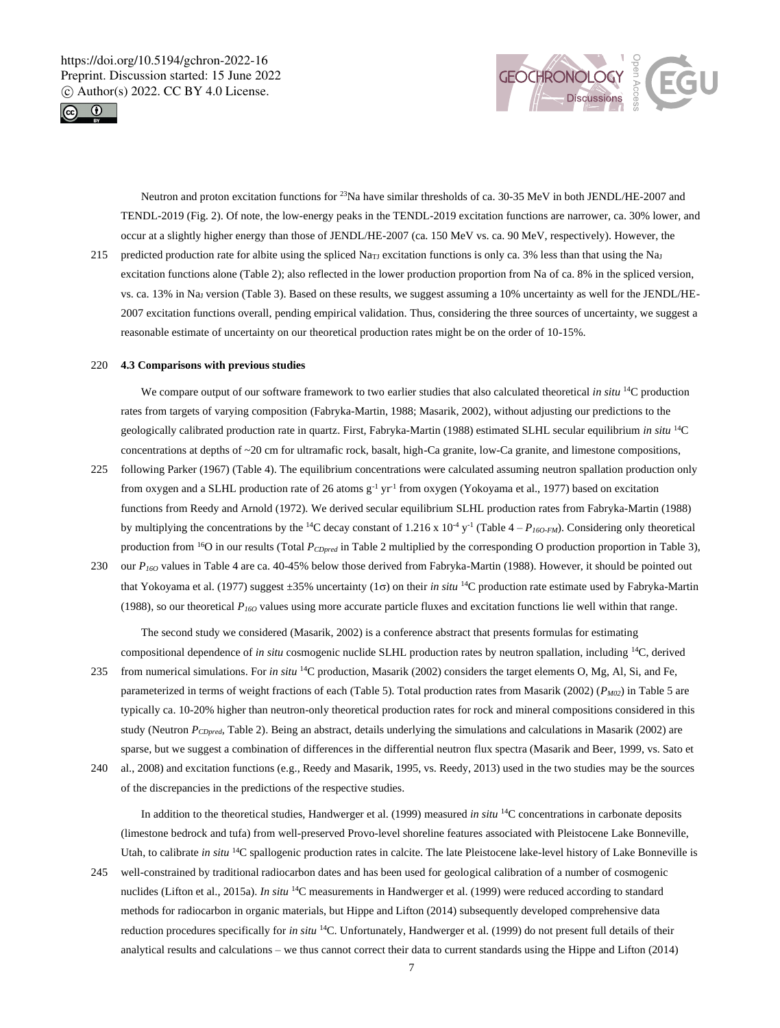



Neutron and proton excitation functions for <sup>23</sup>Na have similar thresholds of ca. 30-35 MeV in both JENDL/HE-2007 and TENDL-2019 (Fig. 2). Of note, the low-energy peaks in the TENDL-2019 excitation functions are narrower, ca. 30% lower, and occur at a slightly higher energy than those of JENDL/HE-2007 (ca. 150 MeV vs. ca. 90 MeV, respectively). However, the

215 predicted production rate for albite using the spliced Na<sub>TJ</sub> excitation functions is only ca. 3% less than that using the Na<sub>J</sub> excitation functions alone (Table 2); also reflected in the lower production proportion from Na of ca. 8% in the spliced version, vs. ca. 13% in Na<sup>J</sup> version (Table 3). Based on these results, we suggest assuming a 10% uncertainty as well for the JENDL/HE-2007 excitation functions overall, pending empirical validation. Thus, considering the three sources of uncertainty, we suggest a reasonable estimate of uncertainty on our theoretical production rates might be on the order of 10-15%.

#### 220 **4.3 Comparisons with previous studies**

We compare output of our software framework to two earlier studies that also calculated theoretical *in situ* <sup>14</sup>C production rates from targets of varying composition (Fabryka-Martin, 1988; Masarik, 2002), without adjusting our predictions to the geologically calibrated production rate in quartz. First, Fabryka-Martin (1988) estimated SLHL secular equilibrium *in situ* <sup>14</sup>C concentrations at depths of ~20 cm for ultramafic rock, basalt, high-Ca granite, low-Ca granite, and limestone compositions,

- 225 following Parker (1967) (Table 4). The equilibrium concentrations were calculated assuming neutron spallation production only from oxygen and a SLHL production rate of 26 atoms  $g^{-1}$  yr<sup>-1</sup> from oxygen (Yokoyama et al., 1977) based on excitation functions from Reedy and Arnold (1972). We derived secular equilibrium SLHL production rates from Fabryka-Martin (1988) by multiplying the concentrations by the <sup>14</sup>C decay constant of 1.216 x  $10^{-4}$  y<sup>-1</sup> (Table  $4-P_{160-FM}$ ). Considering only theoretical production from <sup>16</sup>O in our results (Total  $P_{CDpred}$  in Table 2 multiplied by the corresponding O production proportion in Table 3),
- 230 our *P16O* values in Table 4 are ca. 40-45% below those derived from Fabryka-Martin (1988). However, it should be pointed out that Yokoyama et al. (1977) suggest ±35% uncertainty (1<sub>0</sub>) on their *in situ* <sup>14</sup>C production rate estimate used by Fabryka-Martin (1988), so our theoretical  $P_{160}$  values using more accurate particle fluxes and excitation functions lie well within that range.

The second study we considered (Masarik, 2002) is a conference abstract that presents formulas for estimating compositional dependence of *in situ* cosmogenic nuclide SLHL production rates by neutron spallation, including <sup>14</sup>C, derived

- 235 from numerical simulations. For *in situ* <sup>14</sup>C production, Masarik (2002) considers the target elements O, Mg, Al, Si, and Fe, parameterized in terms of weight fractions of each (Table 5). Total production rates from Masarik (2002) (*PM02*) in Table 5 are typically ca. 10-20% higher than neutron-only theoretical production rates for rock and mineral compositions considered in this study (Neutron *PCDpred*, Table 2). Being an abstract, details underlying the simulations and calculations in Masarik (2002) are sparse, but we suggest a combination of differences in the differential neutron flux spectra (Masarik and Beer, 1999, vs. Sato et
- 240 al., 2008) and excitation functions (e.g., Reedy and Masarik, 1995, vs. Reedy, 2013) used in the two studies may be the sources of the discrepancies in the predictions of the respective studies.

In addition to the theoretical studies, Handwerger et al. (1999) measured *in situ* <sup>14</sup>C concentrations in carbonate deposits (limestone bedrock and tufa) from well-preserved Provo-level shoreline features associated with Pleistocene Lake Bonneville, Utah, to calibrate *in situ* <sup>14</sup>C spallogenic production rates in calcite. The late Pleistocene lake-level history of Lake Bonneville is

245 well-constrained by traditional radiocarbon dates and has been used for geological calibration of a number of cosmogenic nuclides (Lifton et al., 2015a). *In situ* <sup>14</sup>C measurements in Handwerger et al. (1999) were reduced according to standard methods for radiocarbon in organic materials, but Hippe and Lifton (2014) subsequently developed comprehensive data reduction procedures specifically for *in situ* <sup>14</sup>C. Unfortunately, Handwerger et al. (1999) do not present full details of their analytical results and calculations – we thus cannot correct their data to current standards using the Hippe and Lifton (2014)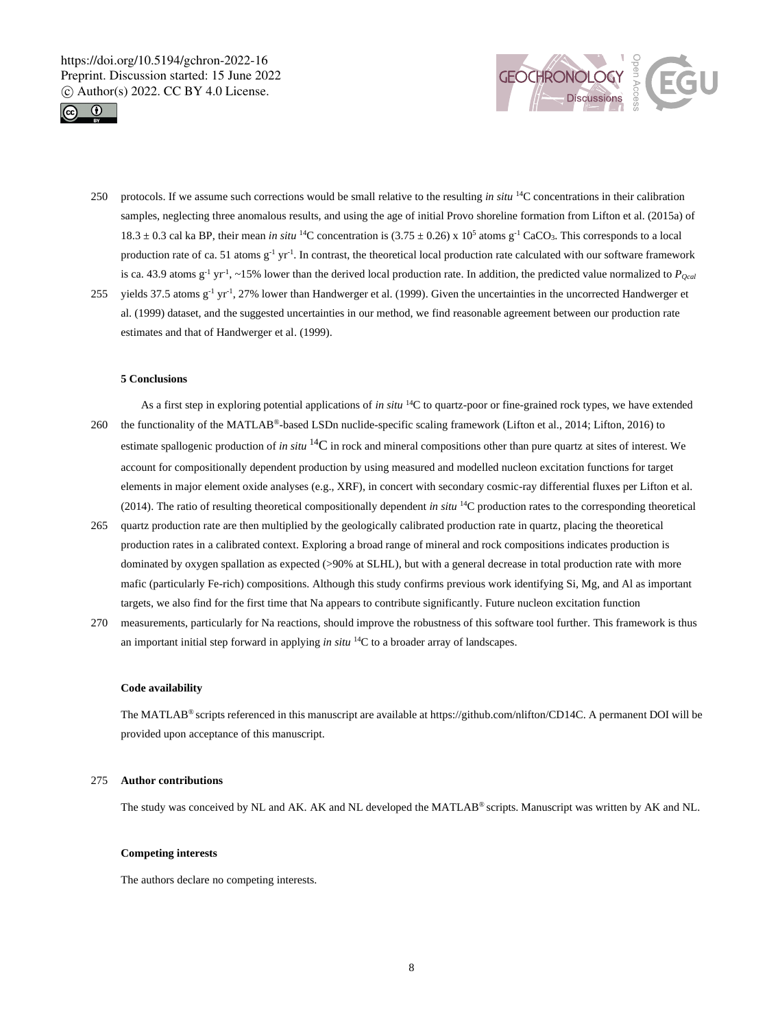



- 250 protocols. If we assume such corrections would be small relative to the resulting *in situ* <sup>14</sup>C concentrations in their calibration samples, neglecting three anomalous results, and using the age of initial Provo shoreline formation from Lifton et al. (2015a) of 18.3  $\pm$  0.3 cal ka BP, their mean *in situ* <sup>14</sup>C concentration is (3.75  $\pm$  0.26) x 10<sup>5</sup> atoms g<sup>-1</sup> CaCO<sub>3</sub>. This corresponds to a local production rate of ca. 51 atoms  $g^{-1}$  yr<sup>-1</sup>. In contrast, the theoretical local production rate calculated with our software framework is ca. 43.9 atoms  $g^{-1}$  yr<sup>-1</sup>, ~15% lower than the derived local production rate. In addition, the predicted value normalized to *P*<sub>*Qcal*</sub> 255 vields 37.5 atoms  $g^{-1}$  yr<sup>-1</sup>, 27% lower than Handwerger et al. (1999). Given the uncertainties in the uncorrected Handwerger et
- al. (1999) dataset, and the suggested uncertainties in our method, we find reasonable agreement between our production rate estimates and that of Handwerger et al. (1999).

#### **5 Conclusions**

- As a first step in exploring potential applications of *in situ* <sup>14</sup>C to quartz-poor or fine-grained rock types, we have extended 260 the functionality of the MATLAB®-based LSDn nuclide-specific scaling framework (Lifton et al., 2014; Lifton, 2016) to estimate spallogenic production of *in situ* <sup>14</sup>C in rock and mineral compositions other than pure quartz at sites of interest. We account for compositionally dependent production by using measured and modelled nucleon excitation functions for target elements in major element oxide analyses (e.g., XRF), in concert with secondary cosmic-ray differential fluxes per Lifton et al. (2014). The ratio of resulting theoretical compositionally dependent *in situ* <sup>14</sup>C production rates to the corresponding theoretical
- 265 quartz production rate are then multiplied by the geologically calibrated production rate in quartz, placing the theoretical production rates in a calibrated context. Exploring a broad range of mineral and rock compositions indicates production is dominated by oxygen spallation as expected (>90% at SLHL), but with a general decrease in total production rate with more mafic (particularly Fe-rich) compositions. Although this study confirms previous work identifying Si, Mg, and Al as important targets, we also find for the first time that Na appears to contribute significantly. Future nucleon excitation function
- 270 measurements, particularly for Na reactions, should improve the robustness of this software tool further. This framework is thus an important initial step forward in applying *in situ* <sup>14</sup>C to a broader array of landscapes.

#### **Code availability**

The MATLAB® scripts referenced in this manuscript are available at https://github.com/nlifton/CD14C. A permanent DOI will be provided upon acceptance of this manuscript.

#### 275 **Author contributions**

The study was conceived by NL and AK. AK and NL developed the MATLAB® scripts. Manuscript was written by AK and NL.

# **Competing interests**

The authors declare no competing interests.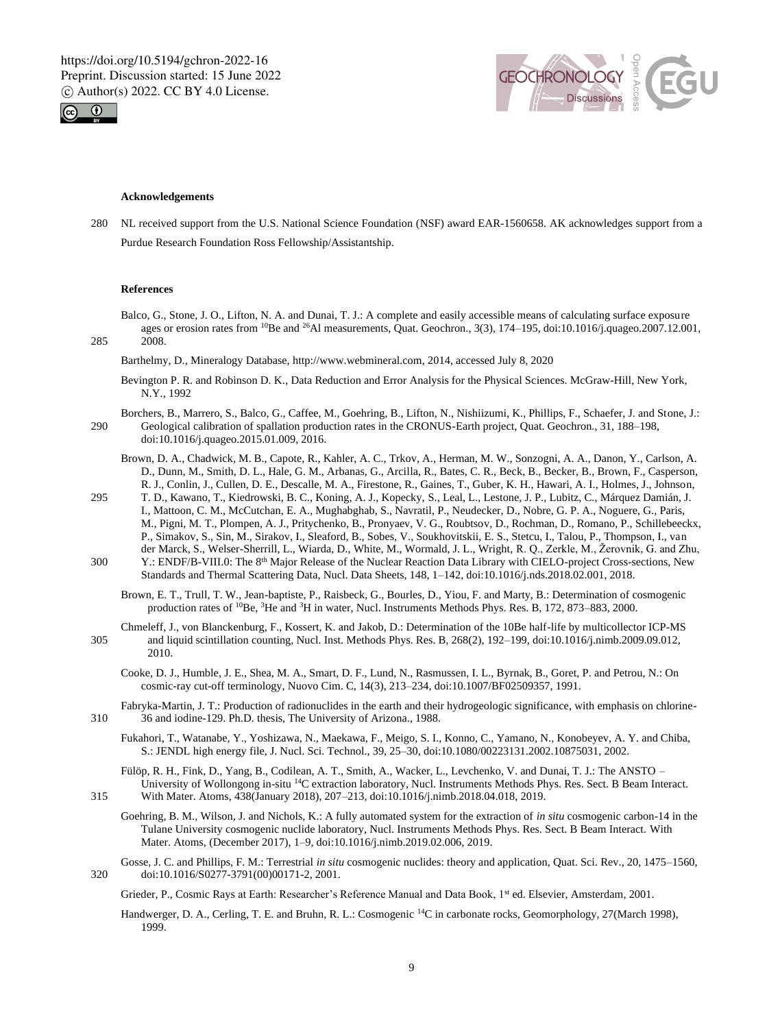



#### **Acknowledgements**

280 NL received support from the U.S. National Science Foundation (NSF) award EAR-1560658. AK acknowledges support from a Purdue Research Foundation Ross Fellowship/Assistantship.

## **References**

Balco, G., Stone, J. O., Lifton, N. A. and Dunai, T. J.: A complete and easily accessible means of calculating surface exposure ages or erosion rates from <sup>10</sup>Be and <sup>26</sup>Al measurements, Quat. Geochron., 3(3), 174–195, doi:10.1016/j.quageo.2007.12.001, 285 2008.

Barthelmy, D., Mineralogy Database, http://www.webmineral.com, 2014, accessed July 8, 2020

- Bevington P. R. and Robinson D. K., Data Reduction and Error Analysis for the Physical Sciences. McGraw-Hill, New York, N.Y., 1992
- Borchers, B., Marrero, S., Balco, G., Caffee, M., Goehring, B., Lifton, N., Nishiizumi, K., Phillips, F., Schaefer, J. and Stone, J.: 290 Geological calibration of spallation production rates in the CRONUS-Earth project, Quat. Geochron., 31, 188–198, doi:10.1016/j.quageo.2015.01.009, 2016.
	- Brown, D. A., Chadwick, M. B., Capote, R., Kahler, A. C., Trkov, A., Herman, M. W., Sonzogni, A. A., Danon, Y., Carlson, A. D., Dunn, M., Smith, D. L., Hale, G. M., Arbanas, G., Arcilla, R., Bates, C. R., Beck, B., Becker, B., Brown, F., Casperson, R. J., Conlin, J., Cullen, D. E., Descalle, M. A., Firestone, R., Gaines, T., Guber, K. H., Hawari, A. I., Holmes, J., Johnson,
- 295 T. D., Kawano, T., Kiedrowski, B. C., Koning, A. J., Kopecky, S., Leal, L., Lestone, J. P., Lubitz, C., Márquez Damián, J. I., Mattoon, C. M., McCutchan, E. A., Mughabghab, S., Navratil, P., Neudecker, D., Nobre, G. P. A., Noguere, G., Paris, M., Pigni, M. T., Plompen, A. J., Pritychenko, B., Pronyaev, V. G., Roubtsov, D., Rochman, D., Romano, P., Schillebeeckx, P., Simakov, S., Sin, M., Sirakov, I., Sleaford, B., Sobes, V., Soukhovitskii, E. S., Stetcu, I., Talou, P., Thompson, I., van der Marck, S., Welser-Sherrill, L., Wiarda, D., White, M., Wormald, J. L., Wright, R. Q., Zerkle, M., Žerovnik, G. and Zhu,
- 300 Y.: ENDF/B-VIII.0: The 8<sup>th</sup> Major Release of the Nuclear Reaction Data Library with CIELO-project Cross-sections, New Standards and Thermal Scattering Data, Nucl. Data Sheets, 148, 1–142, doi:10.1016/j.nds.2018.02.001, 2018.
	- Brown, E. T., Trull, T. W., Jean-baptiste, P., Raisbeck, G., Bourles, D., Yiou, F. and Marty, B.: Determination of cosmogenic production rates of <sup>10</sup>Be, <sup>3</sup>He and <sup>3</sup>H in water, Nucl. Instruments Methods Phys. Res. B, 172, 873-883, 2000.
- Chmeleff, J., von Blanckenburg, F., Kossert, K. and Jakob, D.: Determination of the 10Be half-life by multicollector ICP-MS 305 and liquid scintillation counting, Nucl. Inst. Methods Phys. Res. B, 268(2), 192–199, doi:10.1016/j.nimb.2009.09.012, 2010.
	- Cooke, D. J., Humble, J. E., Shea, M. A., Smart, D. F., Lund, N., Rasmussen, I. L., Byrnak, B., Goret, P. and Petrou, N.: On cosmic-ray cut-off terminology, Nuovo Cim. C, 14(3), 213–234, doi:10.1007/BF02509357, 1991.
- Fabryka-Martin, J. T.: Production of radionuclides in the earth and their hydrogeologic significance, with emphasis on chlorine-310 36 and iodine-129. Ph.D. thesis, The University of Arizona., 1988.
	- Fukahori, T., Watanabe, Y., Yoshizawa, N., Maekawa, F., Meigo, S. I., Konno, C., Yamano, N., Konobeyev, A. Y. and Chiba, S.: JENDL high energy file, J. Nucl. Sci. Technol., 39, 25–30, doi:10.1080/00223131.2002.10875031, 2002.
- Fülöp, R. H., Fink, D., Yang, B., Codilean, A. T., Smith, A., Wacker, L., Levchenko, V. and Dunai, T. J.: The ANSTO University of Wollongong in-situ <sup>14</sup>C extraction laboratory, Nucl. Instruments Methods Phys. Res. Sect. B Beam Interact. 315 With Mater. Atoms, 438(January 2018), 207–213, doi:10.1016/j.nimb.2018.04.018, 2019.
	- Goehring, B. M., Wilson, J. and Nichols, K.: A fully automated system for the extraction of *in situ* cosmogenic carbon-14 in the Tulane University cosmogenic nuclide laboratory, Nucl. Instruments Methods Phys. Res. Sect. B Beam Interact. With Mater. Atoms, (December 2017), 1–9, doi:10.1016/j.nimb.2019.02.006, 2019.
- Gosse, J. C. and Phillips, F. M.: Terrestrial *in situ* cosmogenic nuclides: theory and application, Quat. Sci. Rev., 20, 1475–1560, 320 doi:10.1016/S0277-3791(00)00171-2, 2001.

Grieder, P., Cosmic Rays at Earth: Researcher's Reference Manual and Data Book, 1<sup>st</sup> ed. Elsevier, Amsterdam, 2001.

Handwerger, D. A., Cerling, T. E. and Bruhn, R. L.: Cosmogenic <sup>14</sup>C in carbonate rocks, Geomorphology, 27(March 1998), 1999.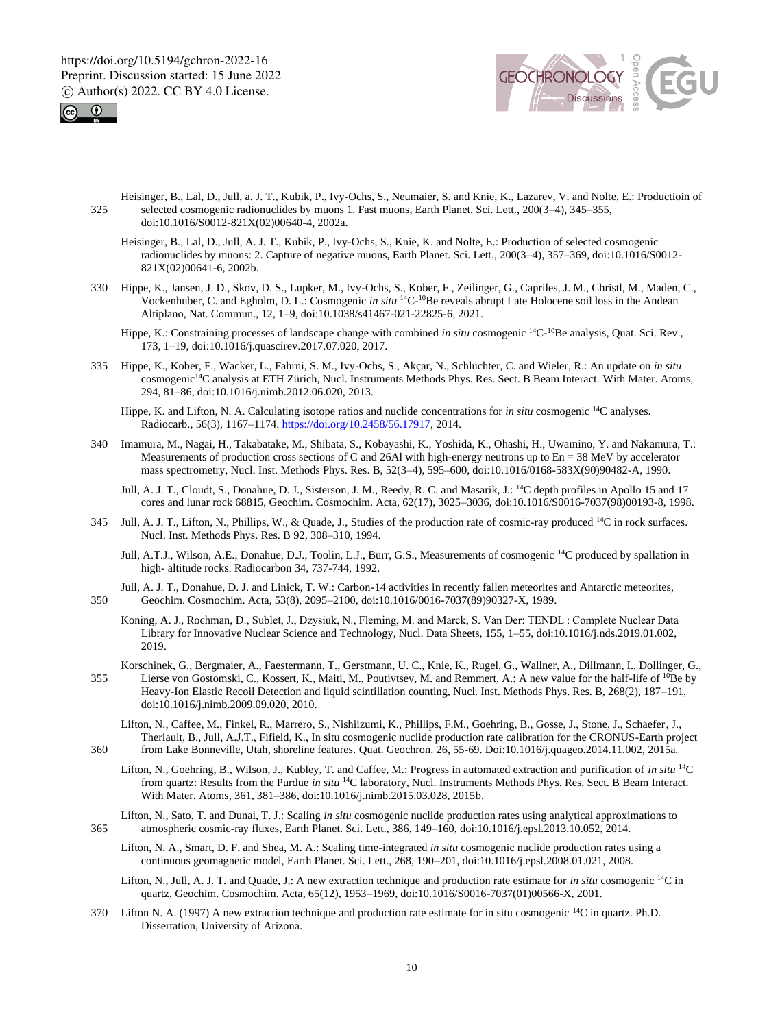



- Heisinger, B., Lal, D., Jull, a. J. T., Kubik, P., Ivy-Ochs, S., Neumaier, S. and Knie, K., Lazarev, V. and Nolte, E.: Productioin of 325 selected cosmogenic radionuclides by muons 1. Fast muons, Earth Planet. Sci. Lett., 200(3–4), 345–355, doi:10.1016/S0012-821X(02)00640-4, 2002a.
	- Heisinger, B., Lal, D., Jull, A. J. T., Kubik, P., Ivy-Ochs, S., Knie, K. and Nolte, E.: Production of selected cosmogenic radionuclides by muons: 2. Capture of negative muons, Earth Planet. Sci. Lett., 200(3–4), 357–369, doi:10.1016/S0012- 821X(02)00641-6, 2002b.
- 330 Hippe, K., Jansen, J. D., Skov, D. S., Lupker, M., Ivy-Ochs, S., Kober, F., Zeilinger, G., Capriles, J. M., Christl, M., Maden, C., Vockenhuber, C. and Egholm, D. L.: Cosmogenic *in situ* <sup>14</sup>C<sup>10</sup>Be reveals abrupt Late Holocene soil loss in the Andean Altiplano, Nat. Commun., 12, 1–9, doi:10.1038/s41467-021-22825-6, 2021.
	- Hippe, K.: Constraining processes of landscape change with combined *in situ* cosmogenic <sup>14</sup>C<sup>-10</sup>Be analysis, Quat. Sci. Rev., 173, 1–19, doi:10.1016/j.quascirev.2017.07.020, 2017.
- 335 Hippe, K., Kober, F., Wacker, L., Fahrni, S. M., Ivy-Ochs, S., Akçar, N., Schlüchter, C. and Wieler, R.: An update on *in situ* cosmogenic<sup>14</sup>C analysis at ETH Zürich, Nucl. Instruments Methods Phys. Res. Sect. B Beam Interact. With Mater. Atoms, 294, 81–86, doi:10.1016/j.nimb.2012.06.020, 2013.
	- Hippe, K. and Lifton, N. A. Calculating isotope ratios and nuclide concentrations for *in situ* cosmogenic <sup>14</sup>C analyses. Radiocarb., 56(3), 1167–1174. https://doi.org/10.2458/56.17917, 2014.
- 340 Imamura, M., Nagai, H., Takabatake, M., Shibata, S., Kobayashi, K., Yoshida, K., Ohashi, H., Uwamino, Y. and Nakamura, T.: Measurements of production cross sections of C and 26Al with high-energy neutrons up to En = 38 MeV by accelerator mass spectrometry, Nucl. Inst. Methods Phys. Res. B, 52(3–4), 595–600, doi:10.1016/0168-583X(90)90482-A, 1990.
	- Jull, A. J. T., Cloudt, S., Donahue, D. J., Sisterson, J. M., Reedy, R. C. and Masarik, J.: <sup>14</sup>C depth profiles in Apollo 15 and 17 cores and lunar rock 68815, Geochim. Cosmochim. Acta, 62(17), 3025–3036, doi:10.1016/S0016-7037(98)00193-8, 1998.
- Jull, A. J. T., Lifton, N., Phillips, W., & Quade, J., Studies of the production rate of cosmic-ray produced <sup>14</sup>C in rock surfaces. Nucl. Inst. Methods Phys. Res. B 92, 308–310, 1994.
	- Jull, A.T.J., Wilson, A.E., Donahue, D.J., Toolin, L.J., Burr, G.S., Measurements of cosmogenic <sup>14</sup>C produced by spallation in high- altitude rocks. Radiocarbon 34, 737-744, 1992.
- Jull, A. J. T., Donahue, D. J. and Linick, T. W.: Carbon-14 activities in recently fallen meteorites and Antarctic meteorites, 350 Geochim. Cosmochim. Acta, 53(8), 2095–2100, doi:10.1016/0016-7037(89)90327-X, 1989.
	- Koning, A. J., Rochman, D., Sublet, J., Dzysiuk, N., Fleming, M. and Marck, S. Van Der: TENDL : Complete Nuclear Data Library for Innovative Nuclear Science and Technology, Nucl. Data Sheets, 155, 1–55, doi:10.1016/j.nds.2019.01.002, 2019.
- Korschinek, G., Bergmaier, A., Faestermann, T., Gerstmann, U. C., Knie, K., Rugel, G., Wallner, A., Dillmann, I., Dollinger, G., 155 Lierse von Gostomski, C., Kossert, K., Maiti, M., Poutivtsev, M. and Remmert, A.: A new value for the half-life of <sup>10</sup>Be by Heavy-Ion Elastic Recoil Detection and liquid scintillation counting, Nucl. Inst. Methods Phys. Res. B, 268(2), 187–191, doi:10.1016/j.nimb.2009.09.020, 2010.
- Lifton, N., Caffee, M., Finkel, R., Marrero, S., Nishiizumi, K., Phillips, F.M., Goehring, B., Gosse, J., Stone, J., Schaefer, J., Theriault, B., Jull, A.J.T., Fifield, K., In situ cosmogenic nuclide production rate calibration for the CRONUS-Earth project 360 from Lake Bonneville, Utah, shoreline features. Quat. Geochron. 26, 55-69. Doi:10.1016/j.quageo.2014.11.002, 2015a.
	- Lifton, N., Goehring, B., Wilson, J., Kubley, T. and Caffee, M.: Progress in automated extraction and purification of *in situ* <sup>14</sup>C from quartz: Results from the Purdue *in situ* <sup>14</sup>C laboratory, Nucl. Instruments Methods Phys. Res. Sect. B Beam Interact. With Mater. Atoms, 361, 381–386, doi:10.1016/j.nimb.2015.03.028, 2015b.
- Lifton, N., Sato, T. and Dunai, T. J.: Scaling *in situ* cosmogenic nuclide production rates using analytical approximations to 365 atmospheric cosmic-ray fluxes, Earth Planet. Sci. Lett., 386, 149–160, doi:10.1016/j.epsl.2013.10.052, 2014.
	- Lifton, N. A., Smart, D. F. and Shea, M. A.: Scaling time-integrated *in situ* cosmogenic nuclide production rates using a continuous geomagnetic model, Earth Planet. Sci. Lett., 268, 190–201, doi:10.1016/j.epsl.2008.01.021, 2008.
	- Lifton, N., Jull, A. J. T. and Quade, J.: A new extraction technique and production rate estimate for *in situ* cosmogenic <sup>14</sup>C in quartz, Geochim. Cosmochim. Acta, 65(12), 1953–1969, doi:10.1016/S0016-7037(01)00566-X, 2001.
- 370 Lifton N. A. (1997) A new extraction technique and production rate estimate for in situ cosmogenic  $^{14}C$  in quartz. Ph.D. Dissertation, University of Arizona.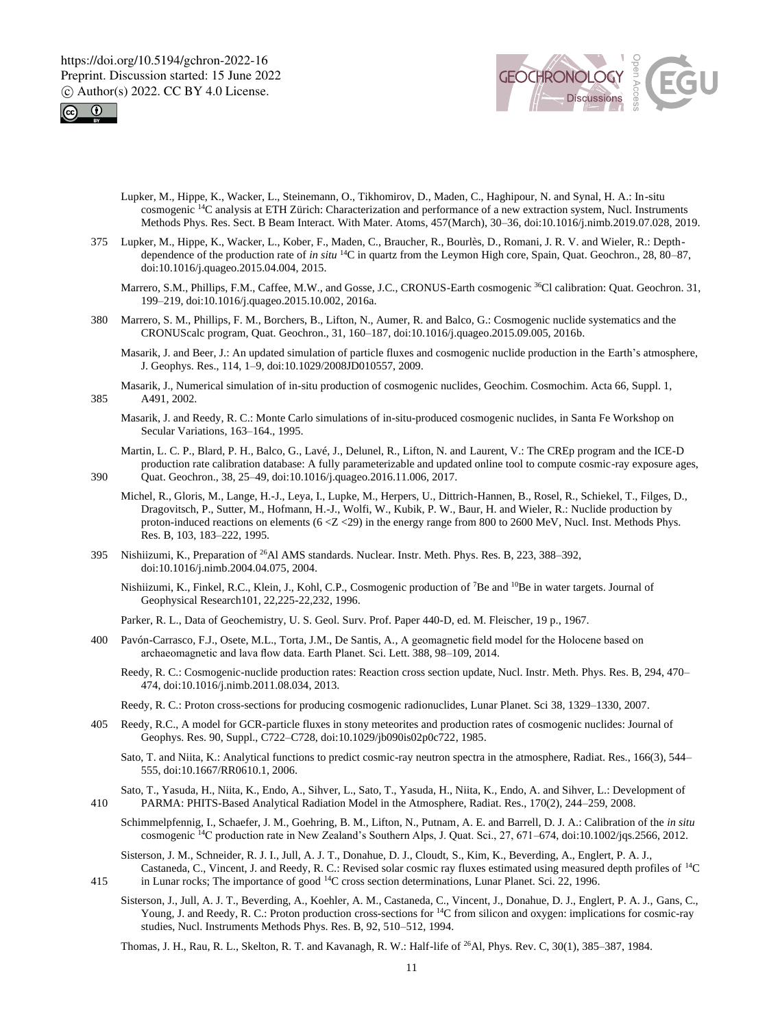



- Lupker, M., Hippe, K., Wacker, L., Steinemann, O., Tikhomirov, D., Maden, C., Haghipour, N. and Synal, H. A.: In-situ cosmogenic <sup>14</sup>C analysis at ETH Zürich: Characterization and performance of a new extraction system, Nucl. Instruments Methods Phys. Res. Sect. B Beam Interact. With Mater. Atoms, 457(March), 30–36, doi:10.1016/j.nimb.2019.07.028, 2019.
- 375 Lupker, M., Hippe, K., Wacker, L., Kober, F., Maden, C., Braucher, R., Bourlès, D., Romani, J. R. V. and Wieler, R.: Depthdependence of the production rate of *in situ* <sup>14</sup>C in quartz from the Leymon High core, Spain, Quat. Geochron., 28, 80–87, doi:10.1016/j.quageo.2015.04.004, 2015.
	- Marrero, S.M., Phillips, F.M., Caffee, M.W., and Gosse, J.C., CRONUS-Earth cosmogenic <sup>36</sup>Cl calibration: Quat. Geochron. 31, 199–219, doi:10.1016/j.quageo.2015.10.002, 2016a.
- 380 Marrero, S. M., Phillips, F. M., Borchers, B., Lifton, N., Aumer, R. and Balco, G.: Cosmogenic nuclide systematics and the CRONUScalc program, Quat. Geochron., 31, 160–187, doi:10.1016/j.quageo.2015.09.005, 2016b.
	- Masarik, J. and Beer, J.: An updated simulation of particle fluxes and cosmogenic nuclide production in the Earth's atmosphere, J. Geophys. Res., 114, 1–9, doi:10.1029/2008JD010557, 2009.
- Masarik, J., Numerical simulation of in-situ production of cosmogenic nuclides, Geochim. Cosmochim. Acta 66, Suppl. 1, 385 A491, 2002.
	- Masarik, J. and Reedy, R. C.: Monte Carlo simulations of in-situ-produced cosmogenic nuclides, in Santa Fe Workshop on Secular Variations, 163–164., 1995.
- Martin, L. C. P., Blard, P. H., Balco, G., Lavé, J., Delunel, R., Lifton, N. and Laurent, V.: The CREp program and the ICE-D production rate calibration database: A fully parameterizable and updated online tool to compute cosmic-ray exposure ages, 390 Quat. Geochron., 38, 25–49, doi:10.1016/j.quageo.2016.11.006, 2017.

- Michel, R., Gloris, M., Lange, H.-J., Leya, I., Lupke, M., Herpers, U., Dittrich-Hannen, B., Rosel, R., Schiekel, T., Filges, D., Dragovitsch, P., Sutter, M., Hofmann, H.-J., Wolfi, W., Kubik, P. W., Baur, H. and Wieler, R.: Nuclide production by proton-induced reactions on elements (6 <Z <29) in the energy range from 800 to 2600 MeV, Nucl. Inst. Methods Phys. Res. B, 103, 183–222, 1995.
- 395 Nishiizumi, K., Preparation of <sup>26</sup>Al AMS standards. Nuclear. Instr. Meth. Phys. Res. B, 223, 388–392, doi:10.1016/j.nimb.2004.04.075, 2004.
	- Nishiizumi, K., Finkel, R.C., Klein, J., Kohl, C.P., Cosmogenic production of <sup>7</sup>Be and <sup>10</sup>Be in water targets. Journal of Geophysical Research101, 22,225-22,232, 1996.

Parker, R. L., Data of Geochemistry, U. S. Geol. Surv. Prof. Paper 440-D, ed. M. Fleischer, 19 p., 1967.

- 400 Pavón-Carrasco, F.J., Osete, M.L., Torta, J.M., De Santis, A., A geomagnetic field model for the Holocene based on archaeomagnetic and lava flow data. Earth Planet. Sci. Lett. 388, 98–109, 2014.
	- Reedy, R. C.: Cosmogenic-nuclide production rates: Reaction cross section update, Nucl. Instr. Meth. Phys. Res. B, 294, 470– 474, doi:10.1016/j.nimb.2011.08.034, 2013.
	- Reedy, R. C.: Proton cross-sections for producing cosmogenic radionuclides, Lunar Planet. Sci 38, 1329–1330, 2007.
- 405 Reedy, R.C., A model for GCR-particle fluxes in stony meteorites and production rates of cosmogenic nuclides: Journal of Geophys. Res. 90, Suppl., C722–C728, doi:10.1029/jb090is02p0c722, 1985.
	- Sato, T. and Niita, K.: Analytical functions to predict cosmic-ray neutron spectra in the atmosphere, Radiat. Res., 166(3), 544– 555, doi:10.1667/RR0610.1, 2006.
- Sato, T., Yasuda, H., Niita, K., Endo, A., Sihver, L., Sato, T., Yasuda, H., Niita, K., Endo, A. and Sihver, L.: Development of 410 PARMA: PHITS-Based Analytical Radiation Model in the Atmosphere, Radiat. Res., 170(2), 244–259, 2008.
	- Schimmelpfennig, I., Schaefer, J. M., Goehring, B. M., Lifton, N., Putnam, A. E. and Barrell, D. J. A.: Calibration of the *in situ* cosmogenic <sup>14</sup>C production rate in New Zealand's Southern Alps, J. Quat. Sci., 27, 671–674, doi:10.1002/jqs.2566, 2012.
- Sisterson, J. M., Schneider, R. J. I., Jull, A. J. T., Donahue, D. J., Cloudt, S., Kim, K., Beverding, A., Englert, P. A. J., Castaneda, C., Vincent, J. and Reedy, R. C.: Revised solar cosmic ray fluxes estimated using measured depth profiles of <sup>14</sup>C <sup>14</sup>5 in Lunar rocks; The importance of good <sup>14</sup>C cross section determinations, Lunar Planet. Sci. 22, 1996.
	- - Sisterson, J., Jull, A. J. T., Beverding, A., Koehler, A. M., Castaneda, C., Vincent, J., Donahue, D. J., Englert, P. A. J., Gans, C., Young, J. and Reedy, R. C.: Proton production cross-sections for <sup>14</sup>C from silicon and oxygen: implications for cosmic-ray studies, Nucl. Instruments Methods Phys. Res. B, 92, 510–512, 1994.

Thomas, J. H., Rau, R. L., Skelton, R. T. and Kavanagh, R. W.: Half-life of <sup>26</sup>Al, Phys. Rev. C, 30(1), 385–387, 1984.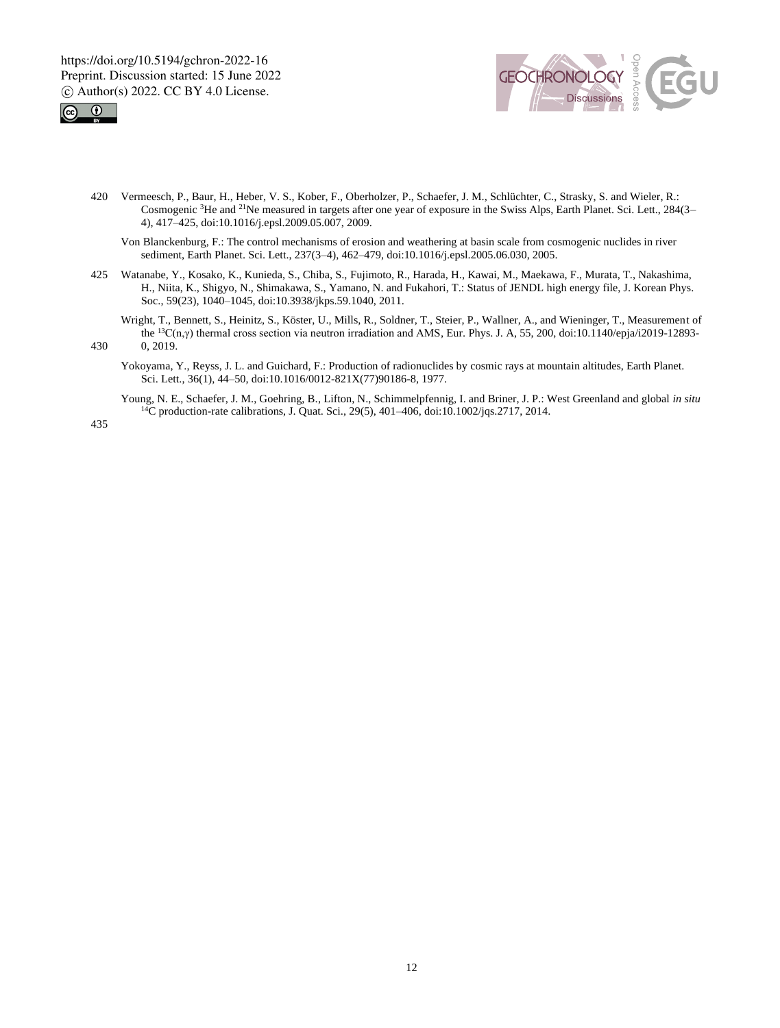



- 420 Vermeesch, P., Baur, H., Heber, V. S., Kober, F., Oberholzer, P., Schaefer, J. M., Schlüchter, C., Strasky, S. and Wieler, R.: Cosmogenic <sup>3</sup>He and <sup>21</sup>Ne measured in targets after one year of exposure in the Swiss Alps, Earth Planet. Sci. Lett., 284(3– 4), 417–425, doi:10.1016/j.epsl.2009.05.007, 2009.
	- Von Blanckenburg, F.: The control mechanisms of erosion and weathering at basin scale from cosmogenic nuclides in river sediment, Earth Planet. Sci. Lett., 237(3–4), 462–479, doi:10.1016/j.epsl.2005.06.030, 2005.
- 425 Watanabe, Y., Kosako, K., Kunieda, S., Chiba, S., Fujimoto, R., Harada, H., Kawai, M., Maekawa, F., Murata, T., Nakashima, H., Niita, K., Shigyo, N., Shimakawa, S., Yamano, N. and Fukahori, T.: Status of JENDL high energy file, J. Korean Phys. Soc., 59(23), 1040–1045, doi:10.3938/jkps.59.1040, 2011.
- Wright, T., Bennett, S., Heinitz, S., Köster, U., Mills, R., Soldner, T., Steier, P., Wallner, A., and Wieninger, T., Measurement of the  ${}^{13}C(n,γ)$  thermal cross section via neutron irradiation and AMS, Eur. Phys. J. A, 55, 200, doi:10.1140/epja/i2019-12893-430 0, 2019.
	- Yokoyama, Y., Reyss, J. L. and Guichard, F.: Production of radionuclides by cosmic rays at mountain altitudes, Earth Planet. Sci. Lett., 36(1), 44–50, doi:10.1016/0012-821X(77)90186-8, 1977.
		- Young, N. E., Schaefer, J. M., Goehring, B., Lifton, N., Schimmelpfennig, I. and Briner, J. P.: West Greenland and global *in situ*  $^{14}$ C production-rate calibrations, J. Quat. Sci., 29(5), 401–406, doi:10.1002/jqs.2717, 2014.

435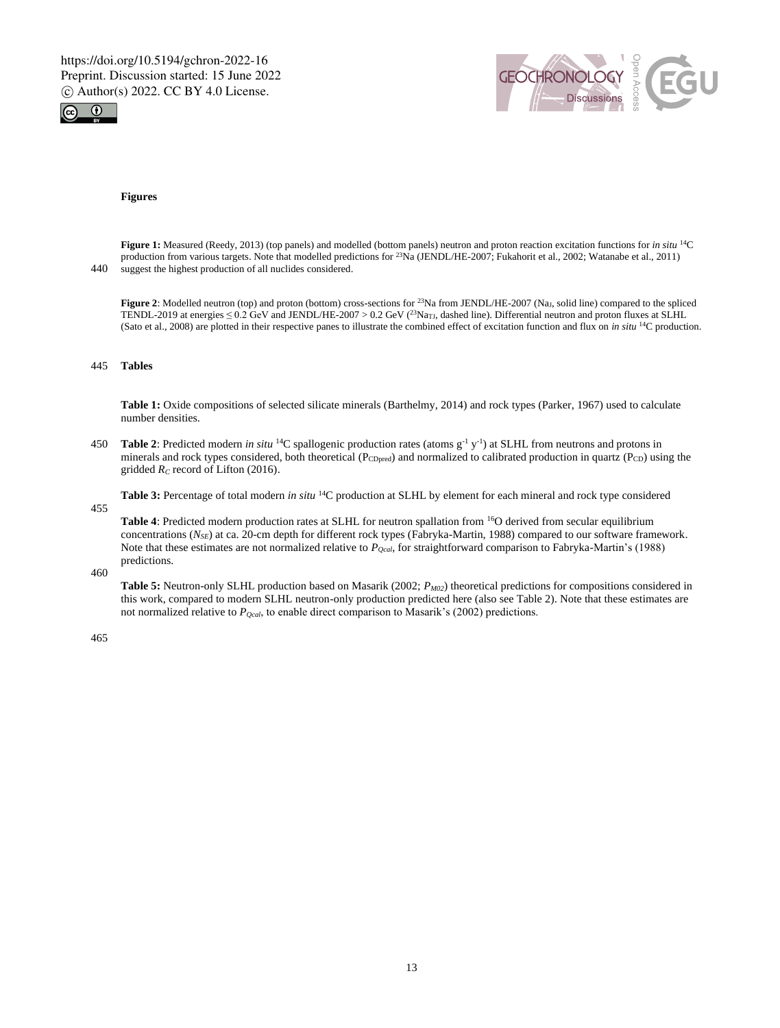



#### **Figures**

**Figure 1:** Measured (Reedy, 2013) (top panels) and modelled (bottom panels) neutron and proton reaction excitation functions for *in situ* <sup>14</sup>C production from various targets. Note that modelled predictions for <sup>23</sup>Na (JENDL/HE-2007; Fukahorit et al., 2002; Watanabe et al., 2011) 440 suggest the highest production of all nuclides considered.

**Figure 2**: Modelled neutron (top) and proton (bottom) cross-sections for <sup>23</sup>Na from JENDL/HE-2007 (Na<sub>J</sub>, solid line) compared to the spliced TENDL-2019 at energies  $\leq 0.2$  GeV and JENDL/HE-2007 > 0.2 GeV (<sup>23</sup>Na<sub>T</sub>, dashed line). Differential neutron and proton fluxes at SLHL (Sato et al., 2008) are plotted in their respective panes to illustrate the combined effect of excitation function and flux on *in situ* <sup>14</sup>C production.

#### 445 **Tables**

**Table 1:** Oxide compositions of selected silicate minerals (Barthelmy, 2014) and rock types (Parker, 1967) used to calculate number densities.

**Table 2:** Predicted modern *in situ* <sup>14</sup>C spallogenic production rates (atoms  $g^{-1}y^{-1}$ ) at SLHL from neutrons and protons in minerals and rock types considered, both theoretical (PcDpred) and normalized to calibrated production in quartz (PcD) using the gridded *R<sup>C</sup>* record of Lifton (2016).

**Table 3:** Percentage of total modern *in situ* <sup>14</sup>C production at SLHL by element for each mineral and rock type considered

455

**Table 4**: Predicted modern production rates at SLHL for neutron spallation from <sup>16</sup>O derived from secular equilibrium concentrations (*NSE*) at ca. 20-cm depth for different rock types (Fabryka-Martin, 1988) compared to our software framework. Note that these estimates are not normalized relative to *PQcal*, for straightforward comparison to Fabryka-Martin's (1988) predictions.

460

**Table 5:** Neutron-only SLHL production based on Masarik (2002; *PM02*) theoretical predictions for compositions considered in this work, compared to modern SLHL neutron-only production predicted here (also see Table 2). Note that these estimates are not normalized relative to *PQcal*, to enable direct comparison to Masarik's (2002) predictions.

465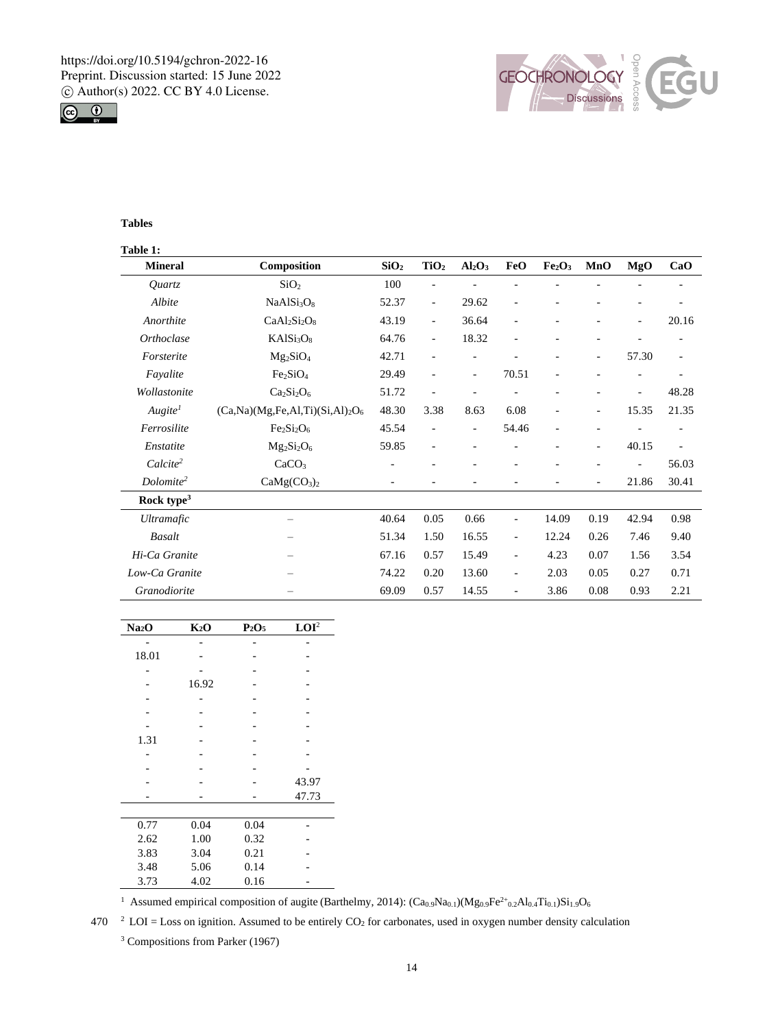



# **Tables**

| Table 1:               |                                       |                  |                          |                          |                          |                                |                          |       |                          |
|------------------------|---------------------------------------|------------------|--------------------------|--------------------------|--------------------------|--------------------------------|--------------------------|-------|--------------------------|
| <b>Mineral</b>         | Composition                           | SiO <sub>2</sub> | TiO <sub>2</sub>         | $Al_2O_3$                | FeO                      | Fe <sub>2</sub> O <sub>3</sub> | MnO                      | MgO   | CaO                      |
| <i>Ouartz</i>          | SiO <sub>2</sub>                      | 100              |                          |                          |                          |                                |                          |       |                          |
| Albite                 | NaAlSi <sub>3</sub> O <sub>8</sub>    | 52.37            | $\overline{\phantom{a}}$ | 29.62                    |                          |                                |                          |       |                          |
| Anorthite              | $CaAl2Si2O8$                          | 43.19            | $\overline{\phantom{a}}$ | 36.64                    | $\overline{a}$           |                                |                          | ٠     | 20.16                    |
| Orthoclase             | KAISi <sub>3</sub> O <sub>8</sub>     | 64.76            | $\overline{\phantom{a}}$ | 18.32                    | $\overline{a}$           | Ĭ.                             |                          |       |                          |
| Forsterite             | $Mg_2SiO_4$                           | 42.71            | $\overline{\phantom{a}}$ | $\overline{\phantom{0}}$ |                          | ۰                              | $\overline{\phantom{a}}$ | 57.30 | $\overline{\phantom{0}}$ |
| Fayalite               | Fe <sub>2</sub> SiO <sub>4</sub>      | 29.49            | $\overline{\phantom{a}}$ | $\overline{\phantom{0}}$ | 70.51                    | ٠                              |                          |       |                          |
| Wollastonite           | $Ca2Si2O6$                            | 51.72            | $\overline{a}$           |                          |                          |                                |                          | ÷,    | 48.28                    |
| Augite <sup>1</sup>    | $(Ca, Na)(Mg, Fe, Al, Ti)(Si, Al)2O6$ | 48.30            | 3.38                     | 8.63                     | 6.08                     | ٠                              | $\overline{\phantom{a}}$ | 15.35 | 21.35                    |
| Ferrosilite            | $Fe2Si2O6$                            | 45.54            | $\overline{\phantom{a}}$ | $\overline{\phantom{0}}$ | 54.46                    | $\qquad \qquad -$              | ٠                        |       | ٠                        |
| Enstatite              | $Mg_2Si_2O_6$                         | 59.85            | $\overline{\phantom{a}}$ |                          |                          |                                | ٠                        | 40.15 | $\overline{\phantom{0}}$ |
| $Calculate^2$          | CaCO <sub>3</sub>                     |                  |                          |                          |                          |                                |                          |       | 56.03                    |
| Dolomite <sup>2</sup>  | CaMg(CO <sub>3</sub> ) <sub>2</sub>   |                  |                          |                          |                          |                                | $\overline{\phantom{m}}$ | 21.86 | 30.41                    |
| Rock type <sup>3</sup> |                                       |                  |                          |                          |                          |                                |                          |       |                          |
| <b>Ultramafic</b>      |                                       | 40.64            | 0.05                     | 0.66                     | $\overline{\phantom{m}}$ | 14.09                          | 0.19                     | 42.94 | 0.98                     |
| <b>Basalt</b>          |                                       | 51.34            | 1.50                     | 16.55                    | $\overline{\phantom{m}}$ | 12.24                          | 0.26                     | 7.46  | 9.40                     |
| Hi-Ca Granite          |                                       | 67.16            | 0.57                     | 15.49                    | $\overline{\phantom{m}}$ | 4.23                           | 0.07                     | 1.56  | 3.54                     |
| Low-Ca Granite         |                                       | 74.22            | 0.20                     | 13.60                    | $\overline{\phantom{m}}$ | 2.03                           | 0.05                     | 0.27  | 0.71                     |
| Granodiorite           |                                       | 69.09            | 0.57                     | 14.55                    | $\overline{\phantom{m}}$ | 3.86                           | 0.08                     | 0.93  | 2.21                     |

| Na <sub>2</sub> O | $K_2O$ | $P_2O_5$ | LOI <sup>2</sup> |
|-------------------|--------|----------|------------------|
|                   |        |          |                  |
| 18.01             |        |          |                  |
|                   |        |          |                  |
|                   | 16.92  |          |                  |
|                   |        |          |                  |
|                   |        |          |                  |
|                   |        |          |                  |
| 1.31              |        |          |                  |
|                   |        |          |                  |
|                   |        |          |                  |
|                   |        |          | 43.97            |
|                   |        |          | 47.73            |
|                   |        |          |                  |
| 0.77              | 0.04   | 0.04     |                  |
| 2.62              | 1.00   | 0.32     |                  |
| 3.83              | 3.04   | 0.21     |                  |
| 3.48              | 5.06   | 0.14     |                  |
| 3.73              | 4.02   | 0.16     |                  |

<sup>1</sup> Assumed empirical composition of augite (Barthelmy, 2014):  $(Ca_0.9Na_{0.1}) (Mg_0.9Fe^{2+}0.2Al_{0.4}Ti_{0.1})Si_{1.9}O_6$ 

 $2^2$  LOI = Loss on ignition. Assumed to be entirely CO<sub>2</sub> for carbonates, used in oxygen number density calculation

<sup>3</sup> Compositions from Parker (1967)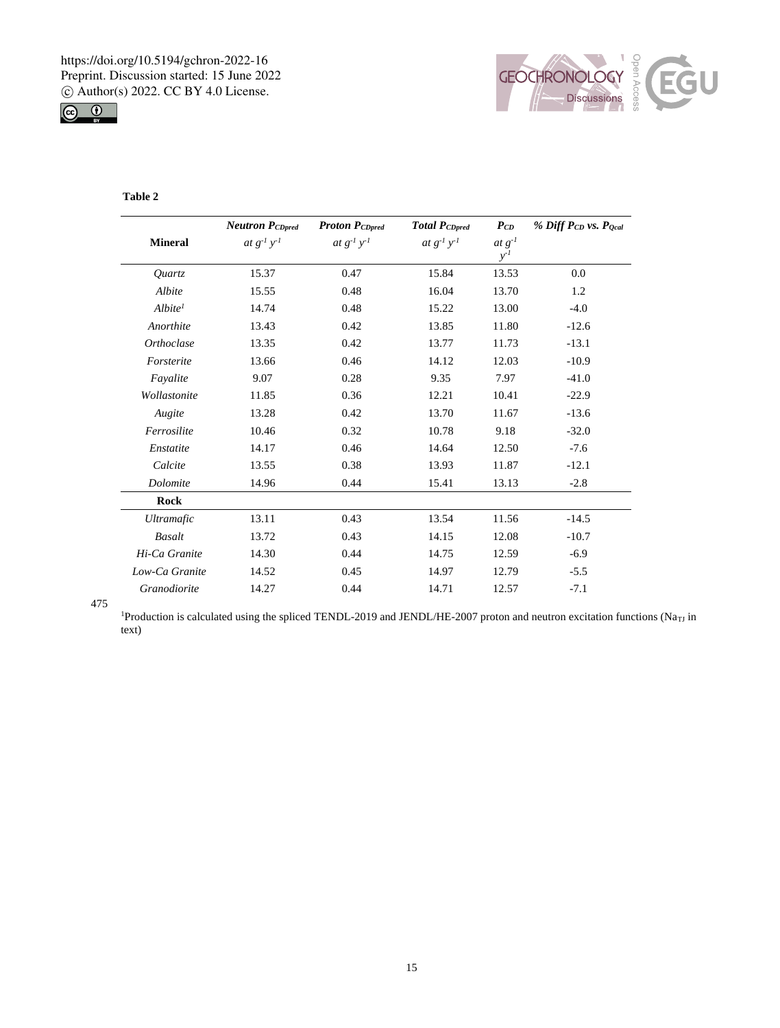



# **Table 2**

|                     | <b>Neutron PCDpred</b> | <b>Proton PCDpred</b> | <b>Total PCDpred</b> | $P_{CD}$ | % Diff PcD vs. Pocal |
|---------------------|------------------------|-----------------------|----------------------|----------|----------------------|
| <b>Mineral</b>      | at $g^{-1}y^{-1}$      | at $g^{-1}y^{-1}$     | at $g^{-1}y^{-1}$    | $at g-1$ |                      |
|                     |                        |                       |                      | $y^{-1}$ |                      |
| Ouartz              | 15.37                  | 0.47                  | 15.84                | 13.53    | 0.0                  |
| Albite              | 15.55                  | 0.48                  | 16.04                | 13.70    | 1.2                  |
| Albite <sup>1</sup> | 14.74                  | 0.48                  | 15.22                | 13.00    | $-4.0$               |
| Anorthite           | 13.43                  | 0.42                  | 13.85                | 11.80    | $-12.6$              |
| Orthoclase          | 13.35                  | 0.42                  | 13.77                | 11.73    | $-13.1$              |
| Forsterite          | 13.66                  | 0.46                  | 14.12                | 12.03    | $-10.9$              |
| Fayalite            | 9.07                   | 0.28                  | 9.35                 | 7.97     | $-41.0$              |
| Wollastonite        | 11.85                  | 0.36                  | 12.21                | 10.41    | $-22.9$              |
| Augite              | 13.28                  | 0.42                  | 13.70                | 11.67    | $-13.6$              |
| Ferrosilite         | 10.46                  | 0.32                  | 10.78                | 9.18     | $-32.0$              |
| Enstatite           | 14.17                  | 0.46                  | 14.64                | 12.50    | $-7.6$               |
| Calcite             | 13.55                  | 0.38                  | 13.93                | 11.87    | $-12.1$              |
| Dolomite            | 14.96                  | 0.44                  | 15.41                | 13.13    | $-2.8$               |
| Rock                |                        |                       |                      |          |                      |
| <b>Ultramafic</b>   | 13.11                  | 0.43                  | 13.54                | 11.56    | $-14.5$              |
| <b>Basalt</b>       | 13.72                  | 0.43                  | 14.15                | 12.08    | $-10.7$              |
| Hi-Ca Granite       | 14.30                  | 0.44                  | 14.75                | 12.59    | $-6.9$               |
| Low-Ca Granite      | 14.52                  | 0.45                  | 14.97                | 12.79    | $-5.5$               |
| Granodiorite        | 14.27                  | 0.44                  | 14.71                | 12.57    | $-7.1$               |

475

<sup>1</sup>Production is calculated using the spliced TENDL-2019 and JENDL/HE-2007 proton and neutron excitation functions (Na<sub>TJ</sub> in text)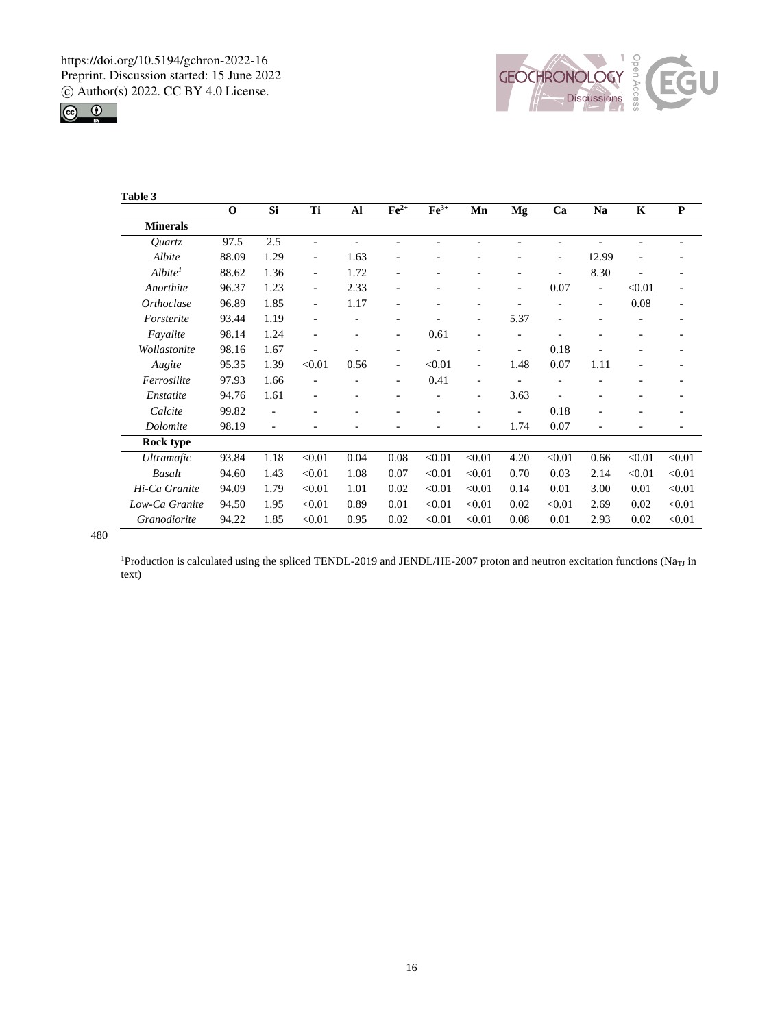



| Table 3             |             |      |                          |      |                          |                    |                          |                          |                          |                          |             |                          |
|---------------------|-------------|------|--------------------------|------|--------------------------|--------------------|--------------------------|--------------------------|--------------------------|--------------------------|-------------|--------------------------|
|                     | $\mathbf 0$ | Si   | Ti                       | Al   | $\mathbf{Fe}^{2+}$       | $\mathbf{Fe}^{3+}$ | Mn                       | Mg                       | Ca                       | Na                       | $\mathbf K$ | ${\bf P}$                |
| <b>Minerals</b>     |             |      |                          |      |                          |                    |                          |                          |                          |                          |             |                          |
| Quartz              | 97.5        | 2.5  | $\overline{a}$           |      |                          |                    |                          |                          |                          |                          |             |                          |
| Albite              | 88.09       | 1.29 | $\overline{\phantom{m}}$ | 1.63 |                          |                    |                          |                          | ٠                        | 12.99                    |             |                          |
| Albite <sup>1</sup> | 88.62       | 1.36 | $\overline{\phantom{a}}$ | 1.72 | ۰                        |                    |                          | ۰                        | ۰                        | 8.30                     |             | $\overline{\phantom{0}}$ |
| Anorthite           | 96.37       | 1.23 | $\overline{\phantom{a}}$ | 2.33 | -                        |                    |                          | ۰                        | 0.07                     | $\overline{\phantom{a}}$ | < 0.01      | $\overline{\phantom{0}}$ |
| <b>Orthoclase</b>   | 96.89       | 1.85 | $\overline{\phantom{a}}$ | 1.17 |                          |                    |                          |                          |                          |                          | 0.08        | ۰                        |
| Forsterite          | 93.44       | 1.19 | $\sim$                   | ٠    | ÷                        |                    | $\overline{\phantom{a}}$ | 5.37                     | $\overline{\phantom{a}}$ |                          |             | $\overline{\phantom{0}}$ |
| Fayalite            | 98.14       | 1.24 |                          |      | -                        | 0.61               |                          |                          |                          |                          |             |                          |
| Wollastonite        | 98.16       | 1.67 |                          |      | ۳                        |                    |                          |                          | 0.18                     |                          |             |                          |
| Augite              | 95.35       | 1.39 | < 0.01                   | 0.56 | $\overline{\phantom{0}}$ | < 0.01             | $\overline{\phantom{a}}$ | 1.48                     | 0.07                     | 1.11                     |             | -                        |
| Ferrosilite         | 97.93       | 1.66 |                          |      | -                        | 0.41               | $\overline{\phantom{a}}$ |                          |                          |                          |             |                          |
| Enstatite           | 94.76       | 1.61 |                          |      |                          |                    | ۰                        | 3.63                     |                          |                          |             |                          |
| Calcite             | 99.82       | ٠    |                          | ۰    | -                        | ٠                  | ٠                        | $\overline{\phantom{m}}$ | 0.18                     |                          |             | $\overline{\phantom{0}}$ |
| Dolomite            | 98.19       | L.   |                          |      |                          |                    | ÷,                       | 1.74                     | 0.07                     |                          |             |                          |
| Rock type           |             |      |                          |      |                          |                    |                          |                          |                          |                          |             |                          |
| <i>Ultramafic</i>   | 93.84       | 1.18 | < 0.01                   | 0.04 | 0.08                     | < 0.01             | < 0.01                   | 4.20                     | < 0.01                   | 0.66                     | < 0.01      | < 0.01                   |
| <b>Basalt</b>       | 94.60       | 1.43 | < 0.01                   | 1.08 | 0.07                     | < 0.01             | < 0.01                   | 0.70                     | 0.03                     | 2.14                     | < 0.01      | < 0.01                   |
| Hi-Ca Granite       | 94.09       | 1.79 | < 0.01                   | 1.01 | 0.02                     | < 0.01             | < 0.01                   | 0.14                     | 0.01                     | 3.00                     | 0.01        | < 0.01                   |
| Low-Ca Granite      | 94.50       | 1.95 | < 0.01                   | 0.89 | 0.01                     | < 0.01             | < 0.01                   | 0.02                     | < 0.01                   | 2.69                     | 0.02        | < 0.01                   |
| Granodiorite        | 94.22       | 1.85 | < 0.01                   | 0.95 | 0.02                     | < 0.01             | < 0.01                   | 0.08                     | 0.01                     | 2.93                     | 0.02        | < 0.01                   |

480

<sup>1</sup>Production is calculated using the spliced TENDL-2019 and JENDL/HE-2007 proton and neutron excitation functions (Na<sub>TJ</sub> in text)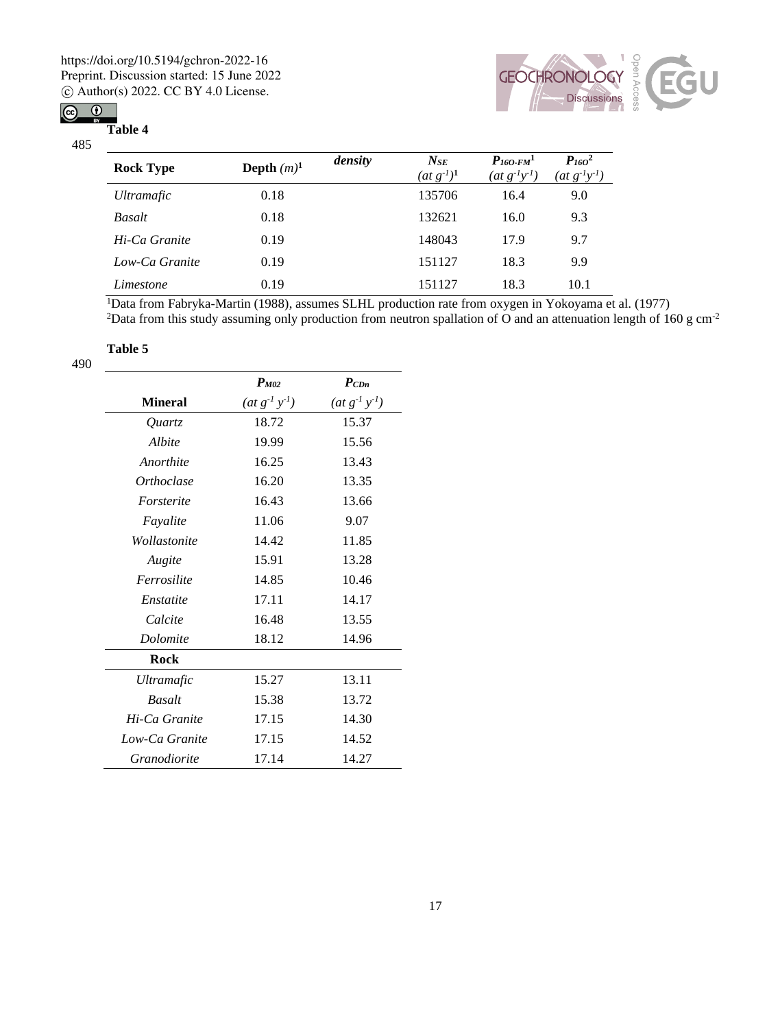# $\circledcirc$   $\circledcirc$



**Table 4**



| <b>Rock Type</b>  | Depth $(m)^1$ | density | $N_{SE}$<br>$(\underline{at} g^{-1})^1$ | $P_{160\text{-}FM}$ <sup>1</sup><br>$(at g^{-1}y^{-1})$ | $P_{160}^2$<br>$(at g^{-1}y^{-1})$ |
|-------------------|---------------|---------|-----------------------------------------|---------------------------------------------------------|------------------------------------|
| <i>Ultramafic</i> | 0.18          |         | 135706                                  | 16.4                                                    | 9.0                                |
| <b>Basalt</b>     | 0.18          |         | 132621                                  | 16.0                                                    | 9.3                                |
| Hi-Ca Granite     | 0.19          |         | 148043                                  | 17.9                                                    | 9.7                                |
| Low-Ca Granite    | 0.19          |         | 151127                                  | 18.3                                                    | 9.9                                |
| Limestone         | 0.19          |         | 151127                                  | 18.3                                                    | 10.1                               |

<sup>1</sup>Data from Fabryka-Martin (1988), assumes SLHL production rate from oxygen in Yokoyama et al. (1977) <sup>2</sup>Data from this study assuming only production from neutron spallation of O and an attenuation length of 160 g cm<sup>-2</sup>

# **Table 5**

490

|                   | $P_{M02}$            | $P_{CDn}$            |
|-------------------|----------------------|----------------------|
| <b>Mineral</b>    | $(at g^{-1} y^{-1})$ | $(at g^{-1} y^{-1})$ |
| <i>Ouartz</i>     | 18.72                | 15.37                |
| Albite            | 19.99                | 15.56                |
| Anorthite         | 16.25                | 13.43                |
| <i>Orthoclase</i> | 16.20                | 13.35                |
| Forsterite        | 16.43                | 13.66                |
| Fayalite          | 11.06                | 9.07                 |
| Wollastonite      | 14.42                | 11.85                |
| Augite            | 15.91                | 13.28                |
| Ferrosilite       | 14.85                | 10.46                |
| Enstatite         | 17.11                | 14.17                |
| Calcite           | 16.48                | 13.55                |
| Dolomite          | 18.12                | 14.96                |
| <b>Rock</b>       |                      |                      |
| <b>Ultramafic</b> | 15.27                | 13.11                |
| <b>Basalt</b>     | 15.38                | 13.72                |
| Hi-Ca Granite     | 17.15                | 14.30                |
| Low-Ca Granite    | 17.15                | 14.52                |
| Granodiorite      | 17.14                | 14.27                |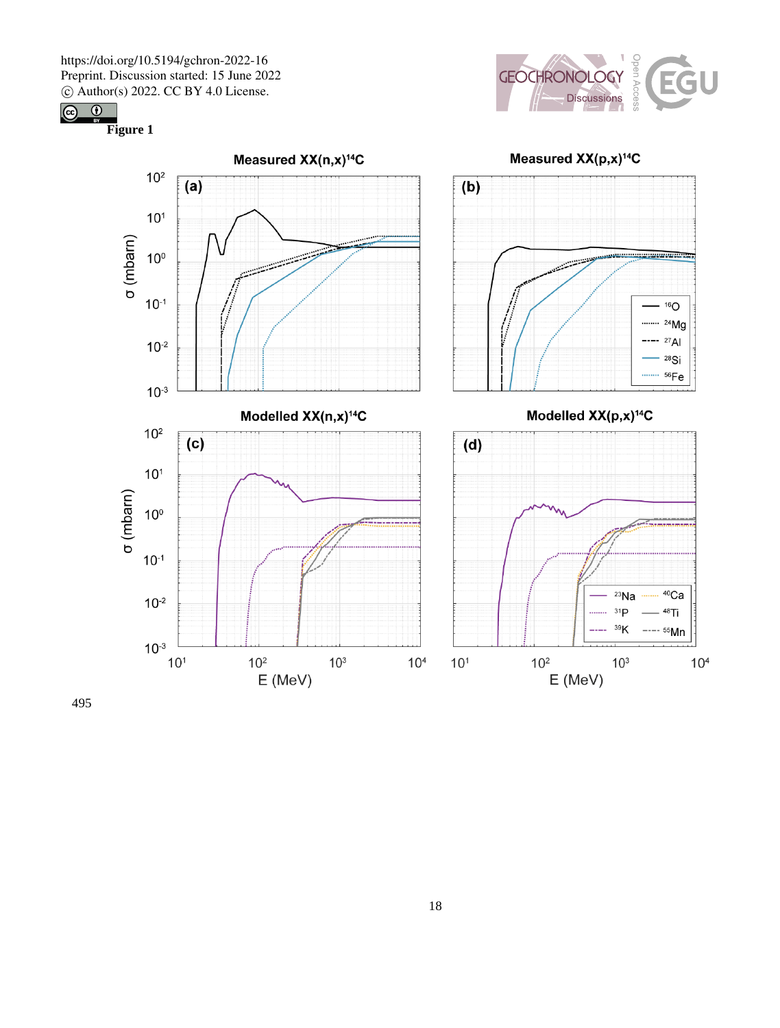$10^{-3}$ 

 $10<sup>2</sup>$ 

 $10<sup>1</sup>$ 

 $10<sup>o</sup>$ 

 $10^{-1}$ 

 $10^{-2}$ 

 $10^{-3}$ 

 $10<sup>1</sup>$ 

 $10<sup>2</sup>$ 

 $\sigma$  (mbarn)

 $(c)$ 







Modelled XX(p,x)<sup>14</sup>C